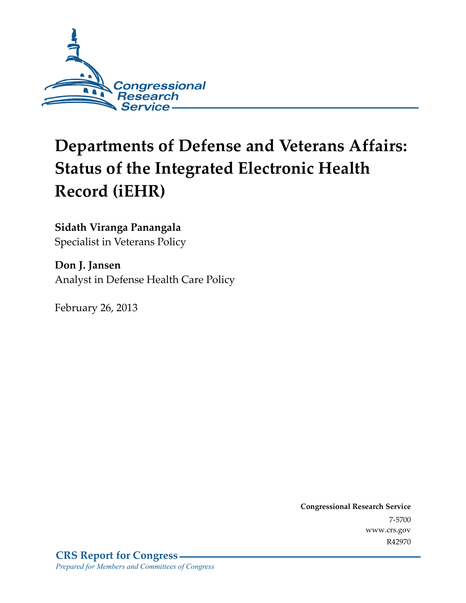

# **Departments of Defense and Veterans Affairs: Status of the Integrated Electronic Health Record (iEHR)**

### **Sidath Viranga Panangala**

Specialist in Veterans Policy

**Don J. Jansen**  Analyst in Defense Health Care Policy

February 26, 2013

**Congressional Research Service**  7-5700 www.crs.gov R42970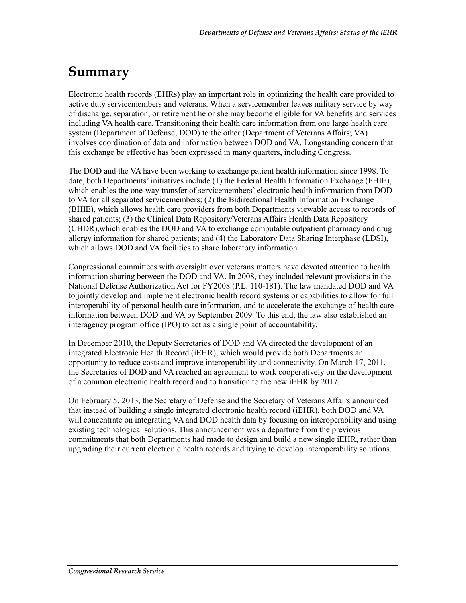## **Summary**

Electronic health records (EHRs) play an important role in optimizing the health care provided to active duty servicemembers and veterans. When a servicemember leaves military service by way of discharge, separation, or retirement he or she may become eligible for VA benefits and services including VA health care. Transitioning their health care information from one large health care system (Department of Defense; DOD) to the other (Department of Veterans Affairs; VA) involves coordination of data and information between DOD and VA. Longstanding concern that this exchange be effective has been expressed in many quarters, including Congress.

The DOD and the VA have been working to exchange patient health information since 1998. To date, both Departments' initiatives include (1) the Federal Health Information Exchange (FHIE), which enables the one-way transfer of servicemembers' electronic health information from DOD to VA for all separated servicemembers; (2) the Bidirectional Health Information Exchange (BHIE), which allows health care providers from both Departments viewable access to records of shared patients; (3) the Clinical Data Repository/Veterans Affairs Health Data Repository (CHDR),which enables the DOD and VA to exchange computable outpatient pharmacy and drug allergy information for shared patients; and (4) the Laboratory Data Sharing Interphase (LDSI), which allows DOD and VA facilities to share laboratory information.

Congressional committees with oversight over veterans matters have devoted attention to health information sharing between the DOD and VA. In 2008, they included relevant provisions in the National Defense Authorization Act for FY2008 (P.L. 110-181). The law mandated DOD and VA to jointly develop and implement electronic health record systems or capabilities to allow for full interoperability of personal health care information, and to accelerate the exchange of health care information between DOD and VA by September 2009. To this end, the law also established an interagency program office (IPO) to act as a single point of accountability.

In December 2010, the Deputy Secretaries of DOD and VA directed the development of an integrated Electronic Health Record (iEHR), which would provide both Departments an opportunity to reduce costs and improve interoperability and connectivity. On March 17, 2011, the Secretaries of DOD and VA reached an agreement to work cooperatively on the development of a common electronic health record and to transition to the new iEHR by 2017.

On February 5, 2013, the Secretary of Defense and the Secretary of Veterans Affairs announced that instead of building a single integrated electronic health record (iEHR), both DOD and VA will concentrate on integrating VA and DOD health data by focusing on interoperability and using existing technological solutions. This announcement was a departure from the previous commitments that both Departments had made to design and build a new single iEHR, rather than upgrading their current electronic health records and trying to develop interoperability solutions.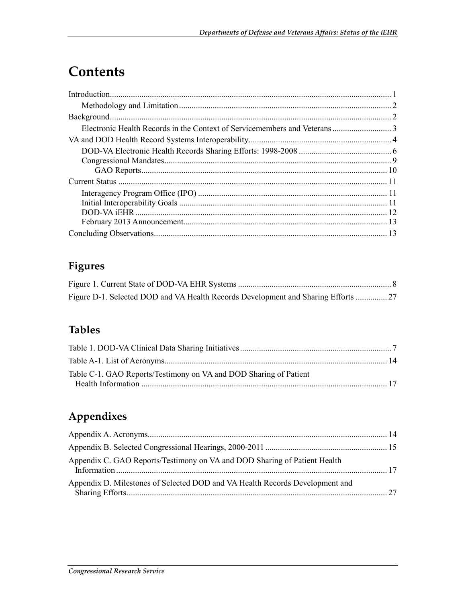## **Contents**

## **Figures**

| Figure D-1. Selected DOD and VA Health Records Development and Sharing Efforts  27 |  |
|------------------------------------------------------------------------------------|--|

## **Tables**

| Table C-1. GAO Reports/Testimony on VA and DOD Sharing of Patient |  |
|-------------------------------------------------------------------|--|
|                                                                   |  |

## **Appendixes**

| Appendix C. GAO Reports/Testimony on VA and DOD Sharing of Patient Health    |  |
|------------------------------------------------------------------------------|--|
| Appendix D. Milestones of Selected DOD and VA Health Records Development and |  |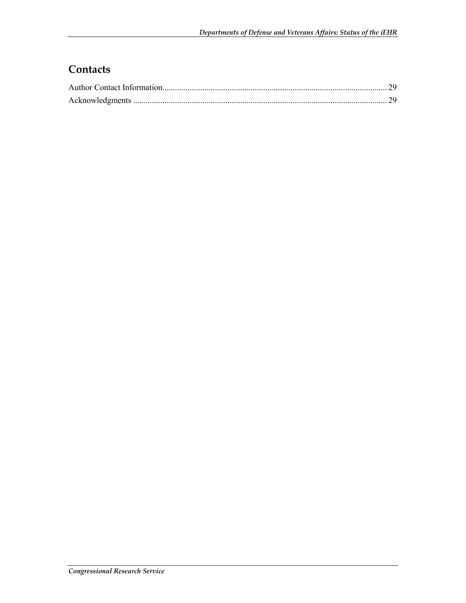## **Contacts**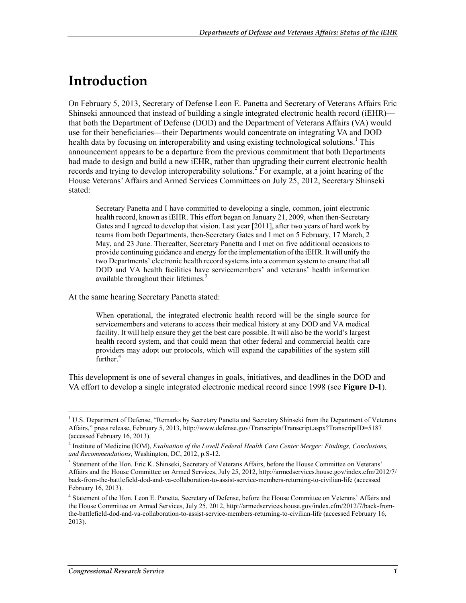## **Introduction**

On February 5, 2013, Secretary of Defense Leon E. Panetta and Secretary of Veterans Affairs Eric Shinseki announced that instead of building a single integrated electronic health record (iEHR) that both the Department of Defense (DOD) and the Department of Veterans Affairs (VA) would use for their beneficiaries—their Departments would concentrate on integrating VA and DOD health data by focusing on interoperability and using existing technological solutions.<sup>1</sup> This announcement appears to be a departure from the previous commitment that both Departments had made to design and build a new iEHR, rather than upgrading their current electronic health records and trying to develop interoperability solutions.<sup>2</sup> For example, at a joint hearing of the House Veterans' Affairs and Armed Services Committees on July 25, 2012, Secretary Shinseki stated:

Secretary Panetta and I have committed to developing a single, common, joint electronic health record, known as iEHR. This effort began on January 21, 2009, when then-Secretary Gates and I agreed to develop that vision. Last year [2011], after two years of hard work by teams from both Departments, then-Secretary Gates and I met on 5 February, 17 March, 2 May, and 23 June. Thereafter, Secretary Panetta and I met on five additional occasions to provide continuing guidance and energy for the implementation of the iEHR. It will unify the two Departments' electronic health record systems into a common system to ensure that all DOD and VA health facilities have servicemembers' and veterans' health information available throughout their lifetimes.<sup>3</sup>

At the same hearing Secretary Panetta stated:

When operational, the integrated electronic health record will be the single source for servicemembers and veterans to access their medical history at any DOD and VA medical facility. It will help ensure they get the best care possible. It will also be the world's largest health record system, and that could mean that other federal and commercial health care providers may adopt our protocols, which will expand the capabilities of the system still further.<sup>4</sup>

This development is one of several changes in goals, initiatives, and deadlines in the DOD and VA effort to develop a single integrated electronic medical record since 1998 (see **Figure D-1**).

<sup>&</sup>lt;u>.</u> <sup>1</sup> U.S. Department of Defense, "Remarks by Secretary Panetta and Secretary Shinseki from the Department of Veterans Affairs," press release, February 5, 2013, http://www.defense.gov/Transcripts/Transcript.aspx?TranscriptID=5187 (accessed February 16, 2013).

<sup>&</sup>lt;sup>2</sup> Institute of Medicine (IOM), *Evaluation of the Lovell Federal Health Care Center Merger: Findings, Conclusions, and Recommendations*, Washington, DC, 2012, p.S-12.

<sup>&</sup>lt;sup>3</sup> Statement of the Hon. Eric K. Shinseki, Secretary of Veterans Affairs, before the House Committee on Veterans' Affairs and the House Committee on Armed Services, July 25, 2012, http://armedservices.house.gov/index.cfm/2012/7/ back-from-the-battlefield-dod-and-va-collaboration-to-assist-service-members-returning-to-civilian-life (accessed February 16, 2013).

<sup>&</sup>lt;sup>4</sup> Statement of the Hon. Leon E. Panetta, Secretary of Defense, before the House Committee on Veterans' Affairs and the House Committee on Armed Services, July 25, 2012, http://armedservices.house.gov/index.cfm/2012/7/back-fromthe-battlefield-dod-and-va-collaboration-to-assist-service-members-returning-to-civilian-life (accessed February 16, 2013).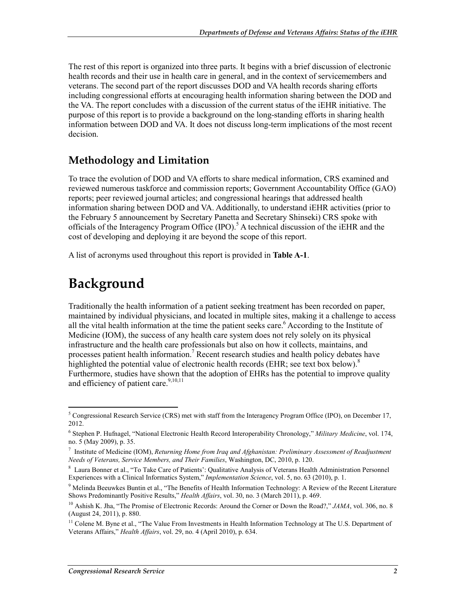The rest of this report is organized into three parts. It begins with a brief discussion of electronic health records and their use in health care in general, and in the context of servicemembers and veterans. The second part of the report discusses DOD and VA health records sharing efforts including congressional efforts at encouraging health information sharing between the DOD and the VA. The report concludes with a discussion of the current status of the iEHR initiative. The purpose of this report is to provide a background on the long-standing efforts in sharing health information between DOD and VA. It does not discuss long-term implications of the most recent decision.

### **Methodology and Limitation**

To trace the evolution of DOD and VA efforts to share medical information, CRS examined and reviewed numerous taskforce and commission reports; Government Accountability Office (GAO) reports; peer reviewed journal articles; and congressional hearings that addressed health information sharing between DOD and VA. Additionally, to understand iEHR activities (prior to the February 5 announcement by Secretary Panetta and Secretary Shinseki) CRS spoke with officials of the Interagency Program Office (IPO).<sup>5</sup> A technical discussion of the iEHR and the cost of developing and deploying it are beyond the scope of this report.

A list of acronyms used throughout this report is provided in **Table A-1**.

## **Background**

<u>.</u>

Traditionally the health information of a patient seeking treatment has been recorded on paper, maintained by individual physicians, and located in multiple sites, making it a challenge to access all the vital health information at the time the patient seeks care.<sup>6</sup> According to the Institute of Medicine (IOM), the success of any health care system does not rely solely on its physical infrastructure and the health care professionals but also on how it collects, maintains, and processes patient health information.<sup>7</sup> Recent research studies and health policy debates have highlighted the potential value of electronic health records (EHR; see text box below).<sup>8</sup> Furthermore, studies have shown that the adoption of EHRs has the potential to improve quality and efficiency of patient care. $9,10,11$ 

<sup>&</sup>lt;sup>5</sup> Congressional Research Service (CRS) met with staff from the Interagency Program Office (IPO), on December 17, 2012.

<sup>6</sup> Stephen P. Hufnagel, "National Electronic Health Record Interoperability Chronology," *Military Medicine*, vol. 174, no. 5 (May 2009), p. 35.

<sup>7</sup> Institute of Medicine (IOM), *Returning Home from Iraq and Afghanistan: Preliminary Assessment of Readjustment Needs of Veterans, Service Members, and Their Families*, Washington, DC, 2010, p. 120.

<sup>&</sup>lt;sup>8</sup> Laura Bonner et al., "To Take Care of Patients': Qualitative Analysis of Veterans Health Administration Personnel Experiences with a Clinical Informatics System," *Implementation Science*, vol. 5, no. 63 (2010), p. 1.

<sup>9</sup> Melinda Beeuwkes Buntin et al., "The Benefits of Health Information Technology: A Review of the Recent Literature Shows Predominantly Positive Results," *Health Affairs*, vol. 30, no. 3 (March 2011), p. 469.

<sup>10</sup> Ashish K. Jha, "The Promise of Electronic Records: Around the Corner or Down the Road?," *JAMA*, vol. 306, no. 8 (August 24, 2011), p. 880.

 $<sup>11</sup>$  Colene M. Byne et al., "The Value From Investments in Health Information Technology at The U.S. Department of</sup> Veterans Affairs," *Health Affairs*, vol. 29, no. 4 (April 2010), p. 634.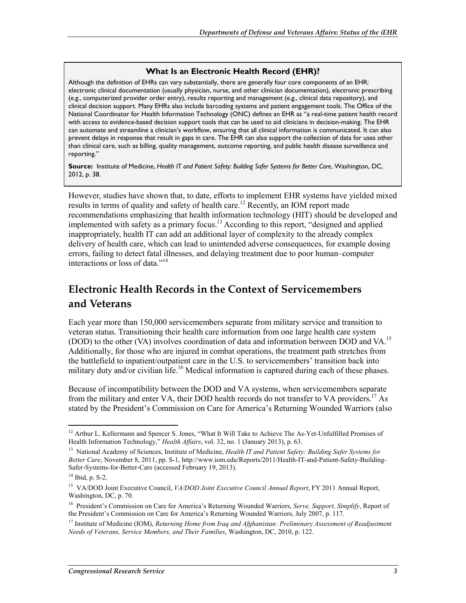#### **What Is an Electronic Health Record (EHR)?**

Although the definition of EHRs can vary substantially, there are generally four core components of an EHR: electronic clinical documentation (usually physician, nurse, and other clinician documentation), electronic prescribing (e.g., computerized provider order entry), results reporting and management (e.g., clinical data repository), and clinical decision support. Many EHRs also include barcoding systems and patient engagement tools. The Office of the National Coordinator for Health Information Technology (ONC) defines an EHR as "a real-time patient health record with access to evidence-based decision support tools that can be used to aid clinicians in decision-making. The EHR can automate and streamline a clinician's workflow, ensuring that all clinical information is communicated. It can also prevent delays in response that result in gaps in care. The EHR can also support the collection of data for uses other than clinical care, such as billing, quality management, outcome reporting, and public health disease surveillance and reporting."

**Source:** Institute of Medicine, *Health IT and Patient Safety: Building Safer Systems for Better Care*, Washington, DC, 2012, p. 38.

However, studies have shown that, to date, efforts to implement EHR systems have yielded mixed results in terms of quality and safety of health care.<sup>12</sup> Recently, an IOM report made recommendations emphasizing that health information technology (HIT) should be developed and implemented with safety as a primary focus.<sup>13</sup> According to this report, "designed and applied inappropriately, health IT can add an additional layer of complexity to the already complex delivery of health care, which can lead to unintended adverse consequences, for example dosing errors, failing to detect fatal illnesses, and delaying treatment due to poor human–computer interactions or loss of data."<sup>14</sup>

### **Electronic Health Records in the Context of Servicemembers and Veterans**

Each year more than 150,000 servicemembers separate from military service and transition to veteran status. Transitioning their health care information from one large health care system (DOD) to the other (VA) involves coordination of data and information between DOD and VA.<sup>15</sup> Additionally, for those who are injured in combat operations, the treatment path stretches from the battlefield to inpatient/outpatient care in the U.S. to servicemembers' transition back into military duty and/or civilian life.<sup>16</sup> Medical information is captured during each of these phases.

Because of incompatibility between the DOD and VA systems, when servicemembers separate from the military and enter VA, their DOD health records do not transfer to VA providers.<sup>17</sup> As stated by the President's Commission on Care for America's Returning Wounded Warriors (also

<sup>&</sup>lt;sup>12</sup> Arthur L. Kellermann and Spencer S. Jones, "What It Will Take to Achieve The As-Yet-Unfulfilled Promises of Health Information Technology," *Health Affairs*, vol. 32, no. 1 (January 2013), p. 63.

<sup>13</sup> National Academy of Sciences, Institute of Medicine, *Health IT and Patient Safety: Building Safer Systems for Better Care*, November 8, 2011, pp. S-1, http://www.iom.edu/Reports/2011/Health-IT-and-Patient-Safety-Building-Safer-Systems-for-Better-Care (accessed February 19, 2013).

<sup>14</sup> Ibid, p. S-2.

<sup>15</sup> VA/DOD Joint Executive Council, *VA/DOD Joint Executive Council Annual Report*, FY 2011 Annual Report, Washington, DC, p. 70.

<sup>16</sup> President's Commission on Care for America's Returning Wounded Warriors, *Serve, Support, Simplify*, Report of the President's Commission on Care for America's Returning Wounded Warriors, July 2007, p. 117.

<sup>17</sup> Institute of Medicine (IOM), *Returning Home from Iraq and Afghanistan: Preliminary Assessment of Readjustment Needs of Veterans, Service Members, and Their Families*, Washington, DC, 2010, p. 122.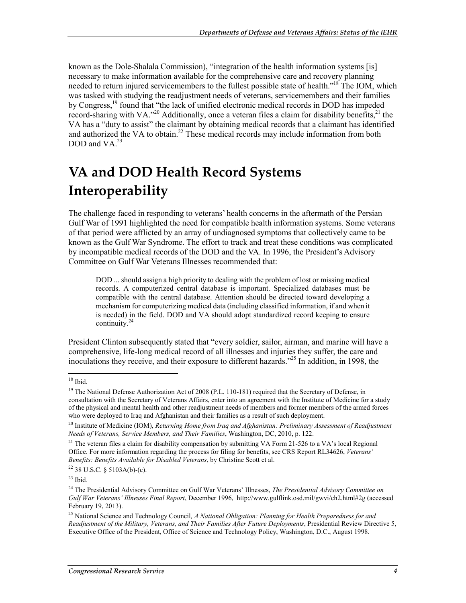known as the Dole-Shalala Commission), "integration of the health information systems [is] necessary to make information available for the comprehensive care and recovery planning needed to return injured servicemembers to the fullest possible state of health."<sup>18</sup> The IOM, which was tasked with studying the readjustment needs of veterans, servicemembers and their families by Congress,<sup>19</sup> found that "the lack of unified electronic medical records in DOD has impeded record-sharing with VA."<sup>20</sup> Additionally, once a veteran files a claim for disability benefits,<sup>21</sup> the VA has a "duty to assist" the claimant by obtaining medical records that a claimant has identified and authorized the VA to obtain.<sup>22</sup> These medical records may include information from both DOD and VA $^{23}$ 

## **VA and DOD Health Record Systems Interoperability**

The challenge faced in responding to veterans' health concerns in the aftermath of the Persian Gulf War of 1991 highlighted the need for compatible health information systems. Some veterans of that period were afflicted by an array of undiagnosed symptoms that collectively came to be known as the Gulf War Syndrome. The effort to track and treat these conditions was complicated by incompatible medical records of the DOD and the VA. In 1996, the President's Advisory Committee on Gulf War Veterans Illnesses recommended that:

DOD ... should assign a high priority to dealing with the problem of lost or missing medical records. A computerized central database is important. Specialized databases must be compatible with the central database. Attention should be directed toward developing a mechanism for computerizing medical data (including classified information, if and when it is needed) in the field. DOD and VA should adopt standardized record keeping to ensure continuity.<sup>24</sup>

President Clinton subsequently stated that "every soldier, sailor, airman, and marine will have a comprehensive, life-long medical record of all illnesses and injuries they suffer, the care and inoculations they receive, and their exposure to different hazards."25 In addition, in 1998, the

 $18$  Ibid.

<sup>&</sup>lt;sup>19</sup> The National Defense Authorization Act of 2008 (P.L. 110-181) required that the Secretary of Defense, in consultation with the Secretary of Veterans Affairs, enter into an agreement with the Institute of Medicine for a study of the physical and mental health and other readjustment needs of members and former members of the armed forces who were deployed to Iraq and Afghanistan and their families as a result of such deployment.

<sup>&</sup>lt;sup>20</sup> Institute of Medicine (IOM), *Returning Home from Iraq and Afghanistan: Preliminary Assessment of Readjustment Needs of Veterans, Service Members, and Their Families*, Washington, DC, 2010, p. 122.

<sup>&</sup>lt;sup>21</sup> The veteran files a claim for disability compensation by submitting VA Form 21-526 to a VA's local Regional Office. For more information regarding the process for filing for benefits, see CRS Report RL34626, *Veterans' Benefits: Benefits Available for Disabled Veterans*, by Christine Scott et al.

 $22$  38 U.S.C. § 5103A(b)-(c).

<sup>23</sup> Ibid*.* 

<sup>24</sup> The Presidential Advisory Committee on Gulf War Veterans' Illnesses, *The Presidential Advisory Committee on Gulf War Veterans' Illnesses Final Report*, December 1996, http://www.gulflink.osd.mil/gwvi/ch2.html#2g (accessed February 19, 2013).

<sup>25</sup> National Science and Technology Council*, A National Obligation: Planning for Health Preparedness for and Readjustment of the Military, Veterans, and Their Families After Future Deployments*, Presidential Review Directive 5, Executive Office of the President, Office of Science and Technology Policy, Washington, D.C., August 1998.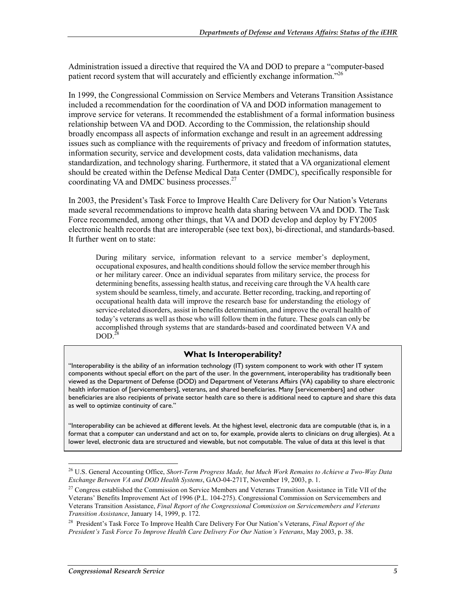Administration issued a directive that required the VA and DOD to prepare a "computer-based patient record system that will accurately and efficiently exchange information."26

In 1999, the Congressional Commission on Service Members and Veterans Transition Assistance included a recommendation for the coordination of VA and DOD information management to improve service for veterans. It recommended the establishment of a formal information business relationship between VA and DOD. According to the Commission, the relationship should broadly encompass all aspects of information exchange and result in an agreement addressing issues such as compliance with the requirements of privacy and freedom of information statutes, information security, service and development costs, data validation mechanisms, data standardization, and technology sharing. Furthermore, it stated that a VA organizational element should be created within the Defense Medical Data Center (DMDC), specifically responsible for coordinating VA and DMDC business processes.<sup>27</sup>

In 2003, the President's Task Force to Improve Health Care Delivery for Our Nation's Veterans made several recommendations to improve health data sharing between VA and DOD. The Task Force recommended, among other things, that VA and DOD develop and deploy by FY2005 electronic health records that are interoperable (see text box), bi-directional, and standards-based. It further went on to state:

During military service, information relevant to a service member's deployment, occupational exposures, and health conditions should follow the service member through his or her military career. Once an individual separates from military service, the process for determining benefits, assessing health status, and receiving care through the VA health care system should be seamless, timely, and accurate. Better recording, tracking, and reporting of occupational health data will improve the research base for understanding the etiology of service-related disorders, assist in benefits determination, and improve the overall health of today's veterans as well as those who will follow them in the future. These goals can only be accomplished through systems that are standards-based and coordinated between VA and  $DOD.<sup>28</sup>$ 

#### **What Is Interoperability?**

"Interoperability is the ability of an information technology (IT) system component to work with other IT system components without special effort on the part of the user. In the government, interoperability has traditionally been viewed as the Department of Defense (DOD) and Department of Veterans Affairs (VA) capability to share electronic health information of [servicemembers], veterans, and shared beneficiaries. Many [servicemembers] and other beneficiaries are also recipients of private sector health care so there is additional need to capture and share this data as well to optimize continuity of care."

"Interoperability can be achieved at different levels. At the highest level, electronic data are computable (that is, in a format that a computer can understand and act on to, for example, provide alerts to clinicians on drug allergies). At a lower level, electronic data are structured and viewable, but not computable. The value of data at this level is that

<sup>1</sup> 26 U.S. General Accounting Office, *Short-Term Progress Made, but Much Work Remains to Achieve a Two-Way Data Exchange Between VA and DOD Health Systems*, GAO-04-271T, November 19, 2003, p. 1.

<sup>&</sup>lt;sup>27</sup> Congress established the Commission on Service Members and Veterans Transition Assistance in Title VII of the Veterans' Benefits Improvement Act of 1996 (P.L. 104-275). Congressional Commission on Servicemembers and Veterans Transition Assistance, *Final Report of the Congressional Commission on Servicemembers and Veterans Transition Assistance*, January 14, 1999, p. 172.

<sup>28</sup> President's Task Force To Improve Health Care Delivery For Our Nation's Veterans, *Final Report of the President's Task Force To Improve Health Care Delivery For Our Nation's Veterans*, May 2003, p. 38.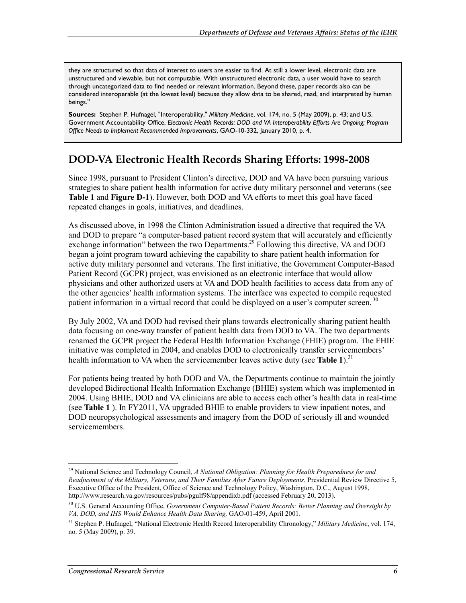they are structured so that data of interest to users are easier to find. At still a lower level, electronic data are unstructured and viewable, but not computable. With unstructured electronic data, a user would have to search through uncategorized data to find needed or relevant information. Beyond these, paper records also can be considered interoperable (at the lowest level) because they allow data to be shared, read, and interpreted by human beings."

**Sources:** Stephen P. Hufnagel, "Interoperability," *Military Medicine*, vol. 174, no. 5 (May 2009), p. 43; and U.S. Government Accountability Office, *Electronic Health Records: DOD and VA Interoperability Efforts Are Ongoing; Program Office Needs to Implement Recommended Improvements*, GAO-10-332, January 2010, p. 4.

### **DOD-VA Electronic Health Records Sharing Efforts: 1998-2008**

Since 1998, pursuant to President Clinton's directive, DOD and VA have been pursuing various strategies to share patient health information for active duty military personnel and veterans (see **Table 1** and **Figure D-1**). However, both DOD and VA efforts to meet this goal have faced repeated changes in goals, initiatives, and deadlines.

As discussed above, in 1998 the Clinton Administration issued a directive that required the VA and DOD to prepare "a computer-based patient record system that will accurately and efficiently exchange information" between the two Departments.<sup>29</sup> Following this directive, VA and DOD began a joint program toward achieving the capability to share patient health information for active duty military personnel and veterans. The first initiative, the Government Computer-Based Patient Record (GCPR) project, was envisioned as an electronic interface that would allow physicians and other authorized users at VA and DOD health facilities to access data from any of the other agencies' health information systems. The interface was expected to compile requested patient information in a virtual record that could be displayed on a user's computer screen.<sup>30</sup>

By July 2002, VA and DOD had revised their plans towards electronically sharing patient health data focusing on one-way transfer of patient health data from DOD to VA. The two departments renamed the GCPR project the Federal Health Information Exchange (FHIE) program. The FHIE initiative was completed in 2004, and enables DOD to electronically transfer servicemembers' health information to VA when the servicemember leaves active duty (see **Table 1**).<sup>31</sup>

For patients being treated by both DOD and VA, the Departments continue to maintain the jointly developed Bidirectional Health Information Exchange (BHIE) system which was implemented in 2004. Using BHIE, DOD and VA clinicians are able to access each other's health data in real-time (see **Table 1** ). In FY2011, VA upgraded BHIE to enable providers to view inpatient notes, and DOD neuropsychological assessments and imagery from the DOD of seriously ill and wounded servicemembers.

<sup>1</sup> 29 National Science and Technology Council*, A National Obligation: Planning for Health Preparedness for and Readjustment of the Military, Veterans, and Their Families After Future Deployments*, Presidential Review Directive 5, Executive Office of the President, Office of Science and Technology Policy, Washington, D.C., August 1998, http://www.research.va.gov/resources/pubs/pgulf98/appendixb.pdf (accessed February 20, 2013).

<sup>30</sup> U.S. General Accounting Office, *Government Computer-Based Patient Records: Better Planning and Oversight by VA, DOD, and IHS Would Enhance Health Data Sharing,* GAO-01-459, April 2001.

<sup>31</sup> Stephen P. Hufnagel, "National Electronic Health Record Interoperability Chronology," *Military Medicine*, vol. 174, no. 5 (May 2009), p. 39.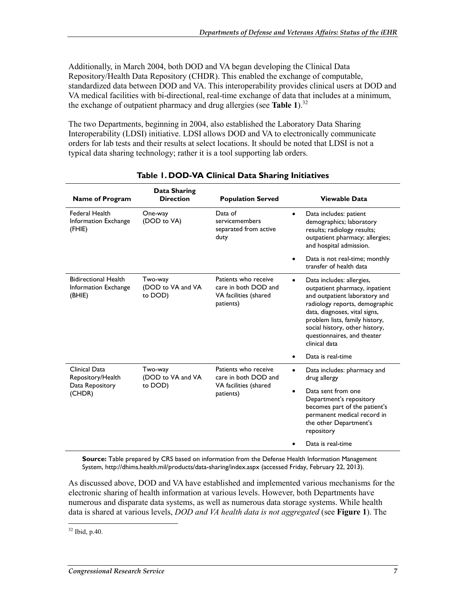Additionally, in March 2004, both DOD and VA began developing the Clinical Data Repository/Health Data Repository (CHDR). This enabled the exchange of computable, standardized data between DOD and VA. This interoperability provides clinical users at DOD and VA medical facilities with bi-directional, real-time exchange of data that includes at a minimum, the exchange of outpatient pharmacy and drug allergies (see **Table 1**).<sup>32</sup>

The two Departments, beginning in 2004, also established the Laboratory Data Sharing Interoperability (LDSI) initiative. LDSI allows DOD and VA to electronically communicate orders for lab tests and their results at select locations. It should be noted that LDSI is not a typical data sharing technology; rather it is a tool supporting lab orders.

| Name of Program                                               | Data Sharing<br><b>Direction</b>        | <b>Population Served</b>                                                           | Viewable Data                                                                                                                                                                                                                                                                                    |
|---------------------------------------------------------------|-----------------------------------------|------------------------------------------------------------------------------------|--------------------------------------------------------------------------------------------------------------------------------------------------------------------------------------------------------------------------------------------------------------------------------------------------|
| <b>Federal Health</b><br>Information Exchange<br>(FHIE)       | One-way<br>(DOD to VA)                  | Data of<br>servicemembers<br>separated from active<br>duty                         | Data includes: patient<br>$\bullet$<br>demographics; laboratory<br>results; radiology results;<br>outpatient pharmacy; allergies;<br>and hospital admission.                                                                                                                                     |
|                                                               |                                         |                                                                                    | Data is not real-time; monthly<br>$\bullet$<br>transfer of health data                                                                                                                                                                                                                           |
| <b>Bidirectional Health</b><br>Information Exchange<br>(BHIE) | Two-way<br>(DOD to VA and VA<br>to DOD) | Patients who receive<br>care in both DOD and<br>VA facilities (shared<br>patients) | Data includes: allergies,<br>$\bullet$<br>outpatient pharmacy, inpatient<br>and outpatient laboratory and<br>radiology reports, demographic<br>data, diagnoses, vital signs,<br>problem lists, family history,<br>social history, other history,<br>questionnaires, and theater<br>clinical data |
|                                                               |                                         |                                                                                    | Data is real-time<br>$\bullet$                                                                                                                                                                                                                                                                   |
| Clinical Data<br>Repository/Health<br>Data Repository         | Two-way<br>(DOD to VA and VA<br>to DOD) | Patients who receive<br>care in both DOD and<br>VA facilities (shared              | Data includes: pharmacy and<br>drug allergy<br>Data sent from one<br>$\bullet$                                                                                                                                                                                                                   |
| (CHDR)                                                        |                                         | patients)                                                                          | Department's repository<br>becomes part of the patient's<br>permanent medical record in<br>the other Department's<br>repository                                                                                                                                                                  |
|                                                               |                                         |                                                                                    | Data is real-time                                                                                                                                                                                                                                                                                |

#### **Table 1. DOD-VA Clinical Data Sharing Initiatives**

**Source:** Table prepared by CRS based on information from the Defense Health Information Management System, http://dhims.health.mil/products/data-sharing/index.aspx (accessed Friday, February 22, 2013).

As discussed above, DOD and VA have established and implemented various mechanisms for the electronic sharing of health information at various levels. However, both Departments have numerous and disparate data systems, as well as numerous data storage systems. While health data is shared at various levels, *DOD and VA health data is not aggregated* (see **Figure 1**). The

<u>.</u>  $32$  Ibid, p.40.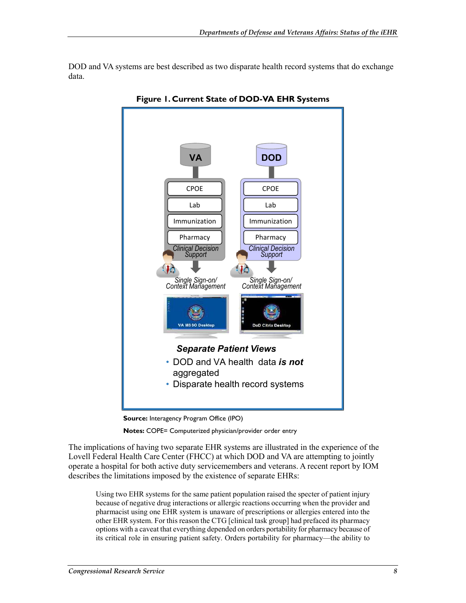DOD and VA systems are best described as two disparate health record systems that do exchange data.



**Figure 1. Current State of DOD-VA EHR Systems** 



**Notes:** COPE= Computerized physician/provider order entry

The implications of having two separate EHR systems are illustrated in the experience of the Lovell Federal Health Care Center (FHCC) at which DOD and VA are attempting to jointly operate a hospital for both active duty servicemembers and veterans. A recent report by IOM describes the limitations imposed by the existence of separate EHRs:

Using two EHR systems for the same patient population raised the specter of patient injury because of negative drug interactions or allergic reactions occurring when the provider and pharmacist using one EHR system is unaware of prescriptions or allergies entered into the other EHR system. For this reason the CTG [clinical task group] had prefaced its pharmacy options with a caveat that everything depended on orders portability for pharmacy because of its critical role in ensuring patient safety. Orders portability for pharmacy—the ability to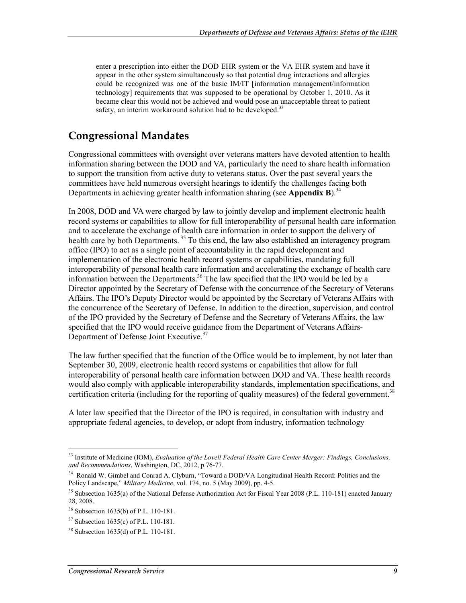enter a prescription into either the DOD EHR system or the VA EHR system and have it appear in the other system simultaneously so that potential drug interactions and allergies could be recognized was one of the basic IM/IT [information management/information technology] requirements that was supposed to be operational by October 1, 2010. As it became clear this would not be achieved and would pose an unacceptable threat to patient safety, an interim workaround solution had to be developed.<sup>33</sup>

### **Congressional Mandates**

Congressional committees with oversight over veterans matters have devoted attention to health information sharing between the DOD and VA, particularly the need to share health information to support the transition from active duty to veterans status. Over the past several years the committees have held numerous oversight hearings to identify the challenges facing both Departments in achieving greater health information sharing (see **Appendix B**).<sup>34</sup>

In 2008, DOD and VA were charged by law to jointly develop and implement electronic health record systems or capabilities to allow for full interoperability of personal health care information and to accelerate the exchange of health care information in order to support the delivery of health care by both Departments.<sup>35</sup> To this end, the law also established an interagency program office (IPO) to act as a single point of accountability in the rapid development and implementation of the electronic health record systems or capabilities, mandating full interoperability of personal health care information and accelerating the exchange of health care information between the Departments.<sup>36</sup> The law specified that the IPO would be led by a Director appointed by the Secretary of Defense with the concurrence of the Secretary of Veterans Affairs. The IPO's Deputy Director would be appointed by the Secretary of Veterans Affairs with the concurrence of the Secretary of Defense. In addition to the direction, supervision, and control of the IPO provided by the Secretary of Defense and the Secretary of Veterans Affairs, the law specified that the IPO would receive guidance from the Department of Veterans Affairs-Department of Defense Joint Executive.<sup>37</sup>

The law further specified that the function of the Office would be to implement, by not later than September 30, 2009, electronic health record systems or capabilities that allow for full interoperability of personal health care information between DOD and VA. These health records would also comply with applicable interoperability standards, implementation specifications, and certification criteria (including for the reporting of quality measures) of the federal government.<sup>38</sup>

A later law specified that the Director of the IPO is required, in consultation with industry and appropriate federal agencies, to develop, or adopt from industry, information technology

<sup>33</sup> Institute of Medicine (IOM), *Evaluation of the Lovell Federal Health Care Center Merger: Findings, Conclusions, and Recommendations*, Washington, DC, 2012, p.76-77.

<sup>&</sup>lt;sup>34</sup> Ronald W. Gimbel and Conrad A. Clyburn, "Toward a DOD/VA Longitudinal Health Record: Politics and the Policy Landscape," *Military Medicine*, vol. 174, no. 5 (May 2009), pp. 4-5.

 $35$  Subsection 1635(a) of the National Defense Authorization Act for Fiscal Year 2008 (P.L. 110-181) enacted January 28, 2008.

<sup>36</sup> Subsection 1635(b) of P.L. 110-181.

<sup>37</sup> Subsection 1635(c) of P.L. 110-181.

<sup>38</sup> Subsection 1635(d) of P.L. 110-181.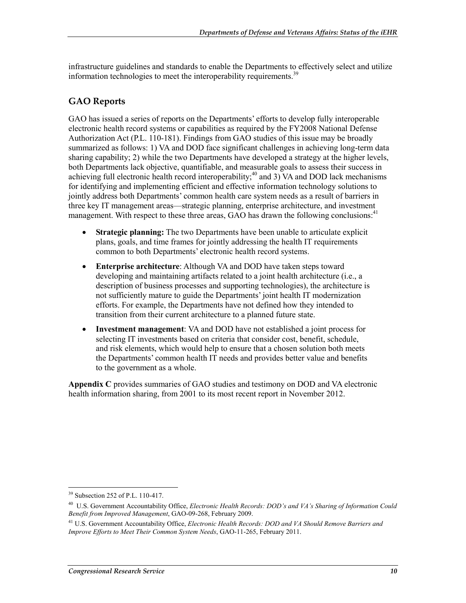infrastructure guidelines and standards to enable the Departments to effectively select and utilize information technologies to meet the interoperability requirements.<sup>39</sup>

#### **GAO Reports**

GAO has issued a series of reports on the Departments' efforts to develop fully interoperable electronic health record systems or capabilities as required by the FY2008 National Defense Authorization Act (P.L. 110-181). Findings from GAO studies of this issue may be broadly summarized as follows: 1) VA and DOD face significant challenges in achieving long-term data sharing capability; 2) while the two Departments have developed a strategy at the higher levels, both Departments lack objective, quantifiable, and measurable goals to assess their success in achieving full electronic health record interoperability;<sup>40</sup> and 3) VA and DOD lack mechanisms for identifying and implementing efficient and effective information technology solutions to jointly address both Departments' common health care system needs as a result of barriers in three key IT management areas—strategic planning, enterprise architecture, and investment management. With respect to these three areas, GAO has drawn the following conclusions:<sup>41</sup>

- **Strategic planning:** The two Departments have been unable to articulate explicit plans, goals, and time frames for jointly addressing the health IT requirements common to both Departments' electronic health record systems.
- **Enterprise architecture**: Although VA and DOD have taken steps toward developing and maintaining artifacts related to a joint health architecture (i.e., a description of business processes and supporting technologies), the architecture is not sufficiently mature to guide the Departments' joint health IT modernization efforts. For example, the Departments have not defined how they intended to transition from their current architecture to a planned future state.
- **Investment management**: VA and DOD have not established a joint process for selecting IT investments based on criteria that consider cost, benefit, schedule, and risk elements, which would help to ensure that a chosen solution both meets the Departments' common health IT needs and provides better value and benefits to the government as a whole.

**Appendix C** provides summaries of GAO studies and testimony on DOD and VA electronic health information sharing, from 2001 to its most recent report in November 2012.

<sup>39</sup> Subsection 252 of P.L. 110-417.

<sup>40</sup> U.S. Government Accountability Office, *Electronic Health Records: DOD's and VA's Sharing of Information Could Benefit from Improved Management*, GAO-09-268, February 2009.

<sup>41</sup> U.S. Government Accountability Office, *Electronic Health Records: DOD and VA Should Remove Barriers and Improve Efforts to Meet Their Common System Needs*, GAO-11-265, February 2011.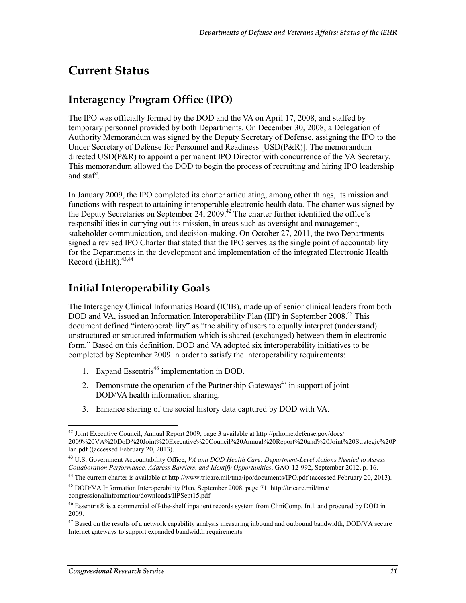## **Current Status**

### **Interagency Program Office (IPO)**

The IPO was officially formed by the DOD and the VA on April 17, 2008, and staffed by temporary personnel provided by both Departments. On December 30, 2008, a Delegation of Authority Memorandum was signed by the Deputy Secretary of Defense, assigning the IPO to the Under Secretary of Defense for Personnel and Readiness [USD(P&R)]. The memorandum directed USD(P&R) to appoint a permanent IPO Director with concurrence of the VA Secretary. This memorandum allowed the DOD to begin the process of recruiting and hiring IPO leadership and staff.

In January 2009, the IPO completed its charter articulating, among other things, its mission and functions with respect to attaining interoperable electronic health data. The charter was signed by the Deputy Secretaries on September 24, 2009.<sup>42</sup> The charter further identified the office's responsibilities in carrying out its mission, in areas such as oversight and management, stakeholder communication, and decision-making. On October 27, 2011, the two Departments signed a revised IPO Charter that stated that the IPO serves as the single point of accountability for the Departments in the development and implementation of the integrated Electronic Health Record ( $i$ EHR).<sup>43,44</sup>

### **Initial Interoperability Goals**

The Interagency Clinical Informatics Board (ICIB), made up of senior clinical leaders from both DOD and VA, issued an Information Interoperability Plan (IIP) in September 2008.<sup>45</sup> This document defined "interoperability" as "the ability of users to equally interpret (understand) unstructured or structured information which is shared (exchanged) between them in electronic form." Based on this definition, DOD and VA adopted six interoperability initiatives to be completed by September 2009 in order to satisfy the interoperability requirements:

- 1. Expand Essentris<sup>46</sup> implementation in DOD.
- 2. Demonstrate the operation of the Partnership Gateways<sup> $47$ </sup> in support of joint DOD/VA health information sharing.
- 3. Enhance sharing of the social history data captured by DOD with VA.

 $42$  Joint Executive Council, Annual Report 2009, page 3 available at http://prhome.defense.gov/docs/ 2009%20VA%20DoD%20Joint%20Executive%20Council%20Annual%20Report%20and%20Joint%20Strategic%20P lan.pdf ((accessed February 20, 2013).

<sup>43</sup> U.S. Government Accountability Office, *VA and DOD Health Care: Department-Level Actions Needed to Assess Collaboration Performance, Address Barriers, and Identify Opportunities*, GAO-12-992, September 2012, p. 16.

<sup>&</sup>lt;sup>44</sup> The current charter is available at http://www.tricare.mil/tma/ipo/documents/IPO.pdf (accessed February 20, 2013).

<sup>45</sup> DOD/VA Information Interoperability Plan, September 2008, page 71. http://tricare.mil/tma/ congressionalinformation/downloads/IIPSept15.pdf

<sup>46</sup> Essentris® is a commercial off-the-shelf inpatient records system from CliniComp, Intl. and procured by DOD in 2009.

<sup>&</sup>lt;sup>47</sup> Based on the results of a network capability analysis measuring inbound and outbound bandwidth, DOD/VA secure Internet gateways to support expanded bandwidth requirements.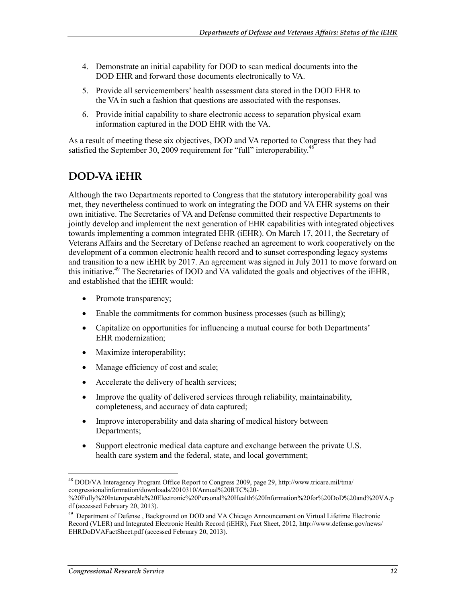- 4. Demonstrate an initial capability for DOD to scan medical documents into the DOD EHR and forward those documents electronically to VA.
- 5. Provide all servicemembers' health assessment data stored in the DOD EHR to the VA in such a fashion that questions are associated with the responses.
- 6. Provide initial capability to share electronic access to separation physical exam information captured in the DOD EHR with the VA.

As a result of meeting these six objectives, DOD and VA reported to Congress that they had satisfied the September 30, 2009 requirement for "full" interoperability.<sup>48</sup>

### **DOD-VA iEHR**

Although the two Departments reported to Congress that the statutory interoperability goal was met, they nevertheless continued to work on integrating the DOD and VA EHR systems on their own initiative. The Secretaries of VA and Defense committed their respective Departments to jointly develop and implement the next generation of EHR capabilities with integrated objectives towards implementing a common integrated EHR (iEHR). On March 17, 2011, the Secretary of Veterans Affairs and the Secretary of Defense reached an agreement to work cooperatively on the development of a common electronic health record and to sunset corresponding legacy systems and transition to a new iEHR by 2017. An agreement was signed in July 2011 to move forward on this initiative.<sup>49</sup> The Secretaries of DOD and VA validated the goals and objectives of the iEHR, and established that the iEHR would:

- Promote transparency;
- Enable the commitments for common business processes (such as billing);
- Capitalize on opportunities for influencing a mutual course for both Departments' EHR modernization;
- Maximize interoperability;
- Manage efficiency of cost and scale;
- Accelerate the delivery of health services;
- Improve the quality of delivered services through reliability, maintainability, completeness, and accuracy of data captured;
- Improve interoperability and data sharing of medical history between Departments;
- Support electronic medical data capture and exchange between the private U.S. health care system and the federal, state, and local government;

<sup>48</sup> DOD/VA Interagency Program Office Report to Congress 2009, page 29, http://www.tricare.mil/tma/ congressionalinformation/downloads/2010310/Annual%20RTC%20-

<sup>%20</sup>Fully%20Interoperable%20Electronic%20Personal%20Health%20Information%20for%20DoD%20and%20VA.p df (accessed February 20, 2013).

<sup>&</sup>lt;sup>49</sup> Department of Defense, Background on DOD and VA Chicago Announcement on Virtual Lifetime Electronic Record (VLER) and Integrated Electronic Health Record (iEHR), Fact Sheet, 2012, http://www.defense.gov/news/ EHRDoDVAFactSheet.pdf (accessed February 20, 2013).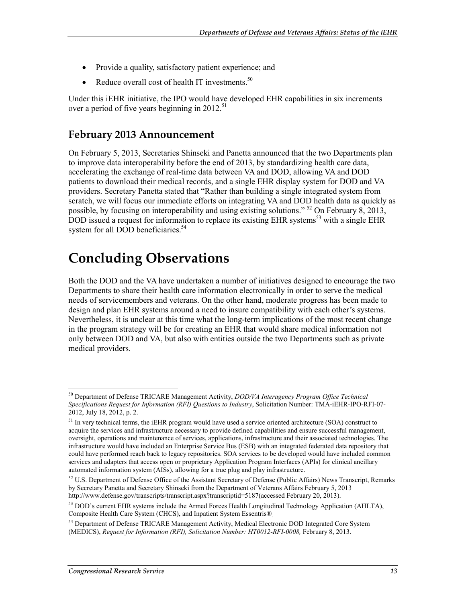- Provide a quality, satisfactory patient experience; and
- Reduce overall cost of health IT investments. $50$

Under this iEHR initiative, the IPO would have developed EHR capabilities in six increments over a period of five years beginning in  $2012$ <sup>51</sup>

### **February 2013 Announcement**

On February 5, 2013, Secretaries Shinseki and Panetta announced that the two Departments plan to improve data interoperability before the end of 2013, by standardizing health care data, accelerating the exchange of real-time data between VA and DOD, allowing VA and DOD patients to download their medical records, and a single EHR display system for DOD and VA providers. Secretary Panetta stated that "Rather than building a single integrated system from scratch, we will focus our immediate efforts on integrating VA and DOD health data as quickly as possible, by focusing on interoperability and using existing solutions." 52 On February 8, 2013, DOD issued a request for information to replace its existing EHR systems<sup>53</sup> with a single EHR system for all DOD beneficiaries.<sup>54</sup>

## **Concluding Observations**

Both the DOD and the VA have undertaken a number of initiatives designed to encourage the two Departments to share their health care information electronically in order to serve the medical needs of servicemembers and veterans. On the other hand, moderate progress has been made to design and plan EHR systems around a need to insure compatibility with each other's systems. Nevertheless, it is unclear at this time what the long-term implications of the most recent change in the program strategy will be for creating an EHR that would share medical information not only between DOD and VA, but also with entities outside the two Departments such as private medical providers.

<sup>50</sup> Department of Defense TRICARE Management Activity, *DOD/VA Interagency Program Office Technical Specifications Request for Information (RFI) Questions to Industry*, Solicitation Number: TMA-iEHR-IPO-RFI-07- 2012, July 18, 2012, p. 2.

 $<sup>51</sup>$  In very technical terms, the iEHR program would have used a service oriented architecture (SOA) construct to</sup> acquire the services and infrastructure necessary to provide defined capabilities and ensure successful management, oversight, operations and maintenance of services, applications, infrastructure and their associated technologies. The infrastructure would have included an Enterprise Service Bus (ESB) with an integrated federated data repository that could have performed reach back to legacy repositories. SOA services to be developed would have included common services and adapters that access open or proprietary Application Program Interfaces (APIs) for clinical ancillary automated information system (AISs), allowing for a true plug and play infrastructure.

 $52$  U.S. Department of Defense Office of the Assistant Secretary of Defense (Public Affairs) News Transcript, Remarks by Secretary Panetta and Secretary Shinseki from the Department of Veterans Affairs February 5, 2013 http://www.defense.gov/transcripts/transcript.aspx?transcriptid=5187(accessed February 20, 2013).

 $53$  DOD's current EHR systems include the Armed Forces Health Longitudinal Technology Application (AHLTA), Composite Health Care System (CHCS), and Inpatient System Essentris®.

<sup>&</sup>lt;sup>54</sup> Department of Defense TRICARE Management Activity, Medical Electronic DOD Integrated Core System (MEDICS), *Request for Information (RFI), Solicitation Number: HT0012-RFI-0008,* February 8, 2013.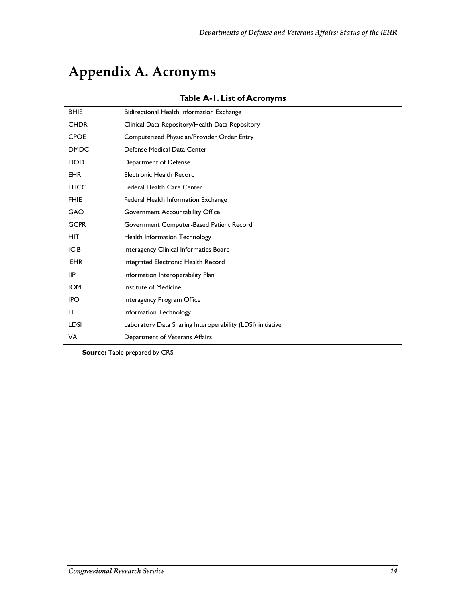## **Appendix A. Acronyms**

 $\overline{a}$ 

| <b>BHIE</b> | Bidirectional Health Information Exchange                  |
|-------------|------------------------------------------------------------|
| <b>CHDR</b> | Clinical Data Repository/Health Data Repository            |
| <b>CPOE</b> | Computerized Physician/Provider Order Entry                |
| <b>DMDC</b> | Defense Medical Data Center                                |
| <b>DOD</b>  | Department of Defense                                      |
| <b>EHR</b>  | Electronic Health Record                                   |
| <b>FHCC</b> | <b>Federal Health Care Center</b>                          |
| <b>FHIE</b> | Federal Health Information Exchange                        |
| <b>GAO</b>  | Government Accountability Office                           |
| <b>GCPR</b> | Government Computer-Based Patient Record                   |
| <b>HIT</b>  | Health Information Technology                              |
| <b>ICIB</b> | Interagency Clinical Informatics Board                     |
| <b>iEHR</b> | Integrated Electronic Health Record                        |
| <b>IIP</b>  | Information Interoperability Plan                          |
| <b>IOM</b>  | Institute of Medicine                                      |
| <b>IPO</b>  | Interagency Program Office                                 |
| IT          | Information Technology                                     |
| LDSI        | Laboratory Data Sharing Interoperability (LDSI) initiative |
| VA          | Department of Veterans Affairs                             |
|             |                                                            |

#### **Table A-1. List of Acronyms**

**Source:** Table prepared by CRS.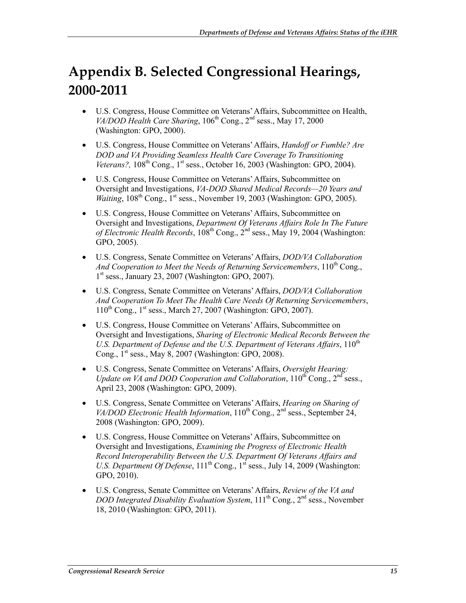## **Appendix B. Selected Congressional Hearings, 2000-2011**

- U.S. Congress, House Committee on Veterans' Affairs, Subcommittee on Health, *VA/DOD Health Care Sharing*, 106<sup>th</sup> Cong., 2<sup>nd</sup> sess., May 17, 2000 (Washington: GPO, 2000).
- U.S. Congress, House Committee on Veterans' Affairs, *Handoff or Fumble? Are DOD and VA Providing Seamless Health Care Coverage To Transitioning Veterans?*,  $108<sup>th</sup>$  Cong.,  $1<sup>st</sup>$  sess., October 16, 2003 (Washington: GPO, 2004).
- U.S. Congress, House Committee on Veterans' Affairs, Subcommittee on Oversight and Investigations, *VA-DOD Shared Medical Records—20 Years and Waiting*, 108<sup>th</sup> Cong., 1<sup>st</sup> sess., November 19, 2003 (Washington: GPO, 2005).
- U.S. Congress, House Committee on Veterans' Affairs, Subcommittee on Oversight and Investigations, *Department Of Veterans Affairs Role In The Future of Electronic Health Records*,  $108<sup>th</sup>$  Cong.,  $2<sup>nd</sup>$  sess., May 19, 2004 (Washington: GPO, 2005).
- U.S. Congress, Senate Committee on Veterans' Affairs, *DOD/VA Collaboration*  And Cooperation to Meet the Needs of Returning Servicemembers, 110<sup>th</sup> Cong.,  $1<sup>st</sup>$  sess., January 23, 2007 (Washington: GPO, 2007).
- U.S. Congress, Senate Committee on Veterans' Affairs, *DOD/VA Collaboration And Cooperation To Meet The Health Care Needs Of Returning Servicemembers*,  $110^{th}$  Cong.,  $1^{st}$  sess., March 27, 2007 (Washington: GPO, 2007).
- U.S. Congress, House Committee on Veterans' Affairs, Subcommittee on Oversight and Investigations, *Sharing of Electronic Medical Records Between the*  U.S. Department of Defense and the U.S. Department of Veterans Affairs, 110<sup>th</sup> Cong.,  $1<sup>st</sup>$  sess., May 8, 2007 (Washington: GPO, 2008).
- U.S. Congress, Senate Committee on Veterans' Affairs, *Oversight Hearing: Update on VA and DOD Cooperation and Collaboration*, 110<sup>th</sup> Cong., 2<sup>nd</sup> sess., April 23, 2008 (Washington: GPO, 2009).
- U.S. Congress, Senate Committee on Veterans' Affairs, *Hearing on Sharing of VA/DOD Electronic Health Information*, 110<sup>th</sup> Cong., 2<sup>nd</sup> sess., September 24, 2008 (Washington: GPO, 2009).
- U.S. Congress, House Committee on Veterans' Affairs, Subcommittee on Oversight and Investigations, *Examining the Progress of Electronic Health Record Interoperability Between the U.S. Department Of Veterans Affairs and U.S. Department Of Defense*,  $111<sup>th</sup>$  Cong.,  $1<sup>sf</sup>$  sess., July 14, 2009 (Washington: GPO, 2010).
- U.S. Congress, Senate Committee on Veterans' Affairs, *Review of the VA and DOD Integrated Disability Evaluation System*, 111<sup>th</sup> Cong., 2<sup>nd</sup> sess., November 18, 2010 (Washington: GPO, 2011).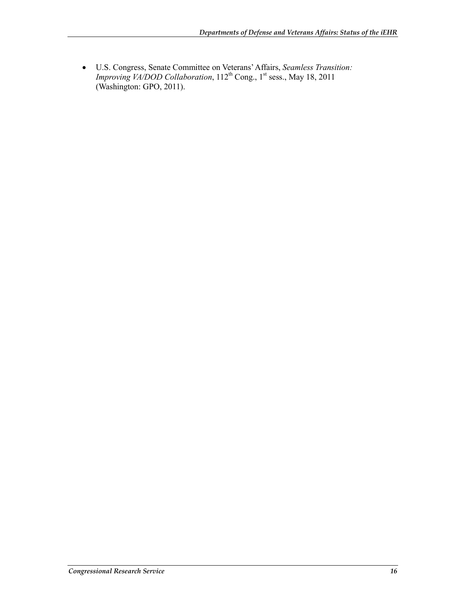• U.S. Congress, Senate Committee on Veterans' Affairs, *Seamless Transition: Improving VA/DOD Collaboration*, 112<sup>th</sup> Cong., 1<sup>st</sup> sess., May 18, 2011 (Washington: GPO, 2011).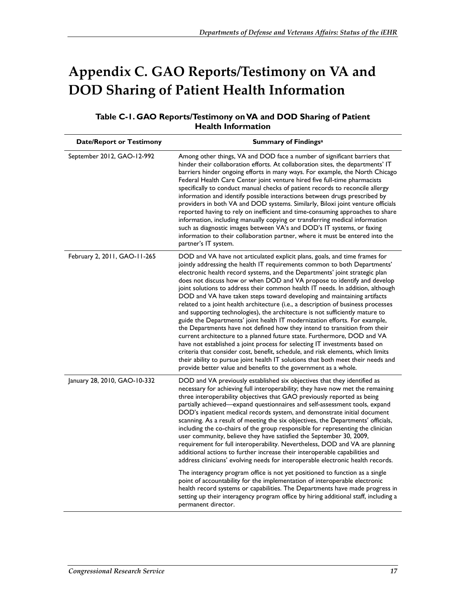## **Appendix C. GAO Reports/Testimony on VA and DOD Sharing of Patient Health Information**

| Table C-1. GAO Reports/Testimony on VA and DOD Sharing of Patient |
|-------------------------------------------------------------------|
| <b>Health Information</b>                                         |

| <b>Date/Report or Testimony</b> | <b>Summary of Findingsa</b>                                                                                                                                                                                                                                                                                                                                                                                                                                                                                                                                                                                                                                                                                                                                                                                                                                                                                                                                                                                                                                                                                                                                                                                       |
|---------------------------------|-------------------------------------------------------------------------------------------------------------------------------------------------------------------------------------------------------------------------------------------------------------------------------------------------------------------------------------------------------------------------------------------------------------------------------------------------------------------------------------------------------------------------------------------------------------------------------------------------------------------------------------------------------------------------------------------------------------------------------------------------------------------------------------------------------------------------------------------------------------------------------------------------------------------------------------------------------------------------------------------------------------------------------------------------------------------------------------------------------------------------------------------------------------------------------------------------------------------|
| September 2012, GAO-12-992      | Among other things, VA and DOD face a number of significant barriers that<br>hinder their collaboration efforts. At collaboration sites, the departments' IT<br>barriers hinder ongoing efforts in many ways. For example, the North Chicago<br>Federal Health Care Center joint venture hired five full-time pharmacists<br>specifically to conduct manual checks of patient records to reconcile allergy<br>information and identify possible interactions between drugs prescribed by<br>providers in both VA and DOD systems. Similarly, Biloxi joint venture officials<br>reported having to rely on inefficient and time-consuming approaches to share<br>information, including manually copying or transferring medical information<br>such as diagnostic images between VA's and DOD's IT systems, or faxing<br>information to their collaboration partner, where it must be entered into the<br>partner's IT system.                                                                                                                                                                                                                                                                                    |
| February 2, 2011, GAO-11-265    | DOD and VA have not articulated explicit plans, goals, and time frames for<br>jointly addressing the health IT requirements common to both Departments'<br>electronic health record systems, and the Departments' joint strategic plan<br>does not discuss how or when DOD and VA propose to identify and develop<br>joint solutions to address their common health IT needs. In addition, although<br>DOD and VA have taken steps toward developing and maintaining artifacts<br>related to a joint health architecture (i.e., a description of business processes<br>and supporting technologies), the architecture is not sufficiently mature to<br>guide the Departments' joint health IT modernization efforts. For example,<br>the Departments have not defined how they intend to transition from their<br>current architecture to a planned future state. Furthermore, DOD and VA<br>have not established a joint process for selecting IT investments based on<br>criteria that consider cost, benefit, schedule, and risk elements, which limits<br>their ability to pursue joint health IT solutions that both meet their needs and<br>provide better value and benefits to the government as a whole. |
| January 28, 2010, GAO-10-332    | DOD and VA previously established six objectives that they identified as<br>necessary for achieving full interoperability; they have now met the remaining<br>three interoperability objectives that GAO previously reported as being<br>partially achieved-expand questionnaires and self-assessment tools, expand<br>DOD's inpatient medical records system, and demonstrate initial document<br>scanning. As a result of meeting the six objectives, the Departments' officials,<br>including the co-chairs of the group responsible for representing the clinician<br>user community, believe they have satisfied the September 30, 2009,<br>requirement for full interoperability. Nevertheless, DOD and VA are planning<br>additional actions to further increase their interoperable capabilities and<br>address clinicians' evolving needs for interoperable electronic health records.                                                                                                                                                                                                                                                                                                                   |
|                                 | The interagency program office is not yet positioned to function as a single<br>point of accountability for the implementation of interoperable electronic<br>health record systems or capabilities. The Departments have made progress in<br>setting up their interagency program office by hiring additional staff, including a<br>permanent director.                                                                                                                                                                                                                                                                                                                                                                                                                                                                                                                                                                                                                                                                                                                                                                                                                                                          |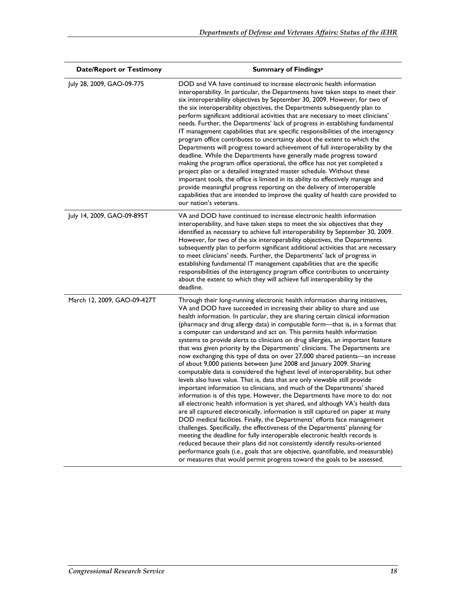| <b>Date/Report or Testimony</b> | <b>Summary of Findingsa</b>                                                                                                                                                                                                                                                                                                                                                                                                                                                                                                                                                                                                                                                                                                                                                                                                                                                                                                                                                                                                                                                                                                                                                                                                                                                                                                                                                                                                                                                                                                                                                                                                                                                                                         |
|---------------------------------|---------------------------------------------------------------------------------------------------------------------------------------------------------------------------------------------------------------------------------------------------------------------------------------------------------------------------------------------------------------------------------------------------------------------------------------------------------------------------------------------------------------------------------------------------------------------------------------------------------------------------------------------------------------------------------------------------------------------------------------------------------------------------------------------------------------------------------------------------------------------------------------------------------------------------------------------------------------------------------------------------------------------------------------------------------------------------------------------------------------------------------------------------------------------------------------------------------------------------------------------------------------------------------------------------------------------------------------------------------------------------------------------------------------------------------------------------------------------------------------------------------------------------------------------------------------------------------------------------------------------------------------------------------------------------------------------------------------------|
| July 28, 2009, GAO-09-775       | DOD and VA have continued to increase electronic health information<br>interoperability. In particular, the Departments have taken steps to meet their<br>six interoperability objectives by September 30, 2009. However, for two of<br>the six interoperability objectives, the Departments subsequently plan to<br>perform significant additional activities that are necessary to meet clinicians'<br>needs. Further, the Departments' lack of progress in establishing fundamental<br>IT management capabilities that are specific responsibilities of the interagency<br>program office contributes to uncertainty about the extent to which the<br>Departments will progress toward achievement of full interoperability by the<br>deadline. While the Departments have generally made progress toward<br>making the program office operational, the office has not yet completed a<br>project plan or a detailed integrated master schedule. Without these<br>important tools, the office is limited in its ability to effectively manage and<br>provide meaningful progress reporting on the delivery of interoperable<br>capabilities that are intended to improve the quality of health care provided to<br>our nation's veterans.                                                                                                                                                                                                                                                                                                                                                                                                                                                                        |
| July 14, 2009, GAO-09-895T      | VA and DOD have continued to increase electronic health information<br>interoperability, and have taken steps to meet the six objectives that they<br>identified as necessary to achieve full interoperability by September 30, 2009.<br>However, for two of the six interoperability objectives, the Departments<br>subsequently plan to perform significant additional activities that are necessary<br>to meet clinicians' needs. Further, the Departments' lack of progress in<br>establishing fundamental IT management capabilities that are the specific<br>responsibilities of the interagency program office contributes to uncertainty<br>about the extent to which they will achieve full interoperability by the<br>deadline.                                                                                                                                                                                                                                                                                                                                                                                                                                                                                                                                                                                                                                                                                                                                                                                                                                                                                                                                                                           |
| March 12, 2009, GAO-09-427T     | Through their long-running electronic health information sharing initiatives,<br>VA and DOD have succeeded in increasing their ability to share and use<br>health information. In particular, they are sharing certain clinical information<br>(pharmacy and drug allergy data) in computable form-that is, in a format that<br>a computer can understand and act on. This permits health information<br>systems to provide alerts to clinicians on drug allergies, an important feature<br>that was given priority by the Departments' clinicians. The Departments are<br>now exchanging this type of data on over 27,000 shared patients-an increase<br>of about 9,000 patients between June 2008 and January 2009. Sharing<br>computable data is considered the highest level of interoperability, but other<br>levels also have value. That is, data that are only viewable still provide<br>important information to clinicians, and much of the Departments' shared<br>information is of this type. However, the Departments have more to do: not<br>all electronic health information is yet shared, and although VA's health data<br>are all captured electronically, information is still captured on paper at many<br>DOD medical facilities. Finally, the Departments' efforts face management<br>challenges. Specifically, the effectiveness of the Departments' planning for<br>meeting the deadline for fully interoperable electronic health records is<br>reduced because their plans did not consistently identify results-oriented<br>performance goals (i.e., goals that are objective, quantifiable, and measurable)<br>or measures that would permit progress toward the goals to be assessed. |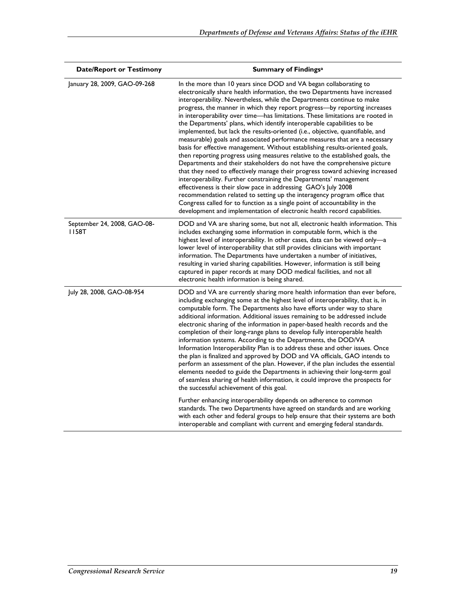| <b>Date/Report or Testimony</b>        | <b>Summary of Findingsa</b>                                                                                                                                                                                                                                                                                                                                                                                                                                                                                                                                                                                                                                                                                                                                                                                                                                                                                                                                                                                                                                                                                                                                                                                                                                                                                                                       |
|----------------------------------------|---------------------------------------------------------------------------------------------------------------------------------------------------------------------------------------------------------------------------------------------------------------------------------------------------------------------------------------------------------------------------------------------------------------------------------------------------------------------------------------------------------------------------------------------------------------------------------------------------------------------------------------------------------------------------------------------------------------------------------------------------------------------------------------------------------------------------------------------------------------------------------------------------------------------------------------------------------------------------------------------------------------------------------------------------------------------------------------------------------------------------------------------------------------------------------------------------------------------------------------------------------------------------------------------------------------------------------------------------|
| January 28, 2009, GAO-09-268           | In the more than 10 years since DOD and VA began collaborating to<br>electronically share health information, the two Departments have increased<br>interoperability. Nevertheless, while the Departments continue to make<br>progress, the manner in which they report progress-by reporting increases<br>in interoperability over time-has limitations. These limitations are rooted in<br>the Departments' plans, which identify interoperable capabilities to be<br>implemented, but lack the results-oriented (i.e., objective, quantifiable, and<br>measurable) goals and associated performance measures that are a necessary<br>basis for effective management. Without establishing results-oriented goals,<br>then reporting progress using measures relative to the established goals, the<br>Departments and their stakeholders do not have the comprehensive picture<br>that they need to effectively manage their progress toward achieving increased<br>interoperability. Further constraining the Departments' management<br>effectiveness is their slow pace in addressing GAO's July 2008<br>recommendation related to setting up the interagency program office that<br>Congress called for to function as a single point of accountability in the<br>development and implementation of electronic health record capabilities. |
| September 24, 2008, GAO-08-<br>I I 58T | DOD and VA are sharing some, but not all, electronic health information. This<br>includes exchanging some information in computable form, which is the<br>highest level of interoperability. In other cases, data can be viewed only-a<br>lower level of interoperability that still provides clinicians with important<br>information. The Departments have undertaken a number of initiatives,<br>resulting in varied sharing capabilities. However, information is still being<br>captured in paper records at many DOD medical facilities, and not all<br>electronic health information is being shared.                                                                                                                                                                                                                                                                                                                                                                                                                                                                                                                                                                                                                                                                                                                                      |
| July 28, 2008, GAO-08-954              | DOD and VA are currently sharing more health information than ever before,<br>including exchanging some at the highest level of interoperability, that is, in<br>computable form. The Departments also have efforts under way to share<br>additional information. Additional issues remaining to be addressed include<br>electronic sharing of the information in paper-based health records and the<br>completion of their long-range plans to develop fully interoperable health<br>information systems. According to the Departments, the DOD/VA<br>Information Interoperability Plan is to address these and other issues. Once<br>the plan is finalized and approved by DOD and VA officials, GAO intends to<br>perform an assessment of the plan. However, if the plan includes the essential<br>elements needed to guide the Departments in achieving their long-term goal<br>of seamless sharing of health information, it could improve the prospects for<br>the successful achievement of this goal.                                                                                                                                                                                                                                                                                                                                    |
|                                        | Further enhancing interoperability depends on adherence to common<br>standards. The two Departments have agreed on standards and are working<br>with each other and federal groups to help ensure that their systems are both<br>interoperable and compliant with current and emerging federal standards.                                                                                                                                                                                                                                                                                                                                                                                                                                                                                                                                                                                                                                                                                                                                                                                                                                                                                                                                                                                                                                         |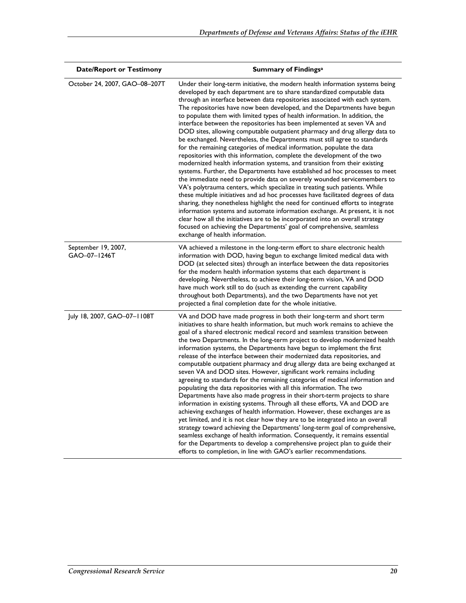| <b>Date/Report or Testimony</b>     | <b>Summary of Findings</b> <sup>a</sup>                                                                                                                                                                                                                                                                                                                                                                                                                                                                                                                                                                                                                                                                                                                                                                                                                                                                                                                                                                                                                                                                                                                                                                                                                                                                                                                                                                                                                                                                                                                                 |
|-------------------------------------|-------------------------------------------------------------------------------------------------------------------------------------------------------------------------------------------------------------------------------------------------------------------------------------------------------------------------------------------------------------------------------------------------------------------------------------------------------------------------------------------------------------------------------------------------------------------------------------------------------------------------------------------------------------------------------------------------------------------------------------------------------------------------------------------------------------------------------------------------------------------------------------------------------------------------------------------------------------------------------------------------------------------------------------------------------------------------------------------------------------------------------------------------------------------------------------------------------------------------------------------------------------------------------------------------------------------------------------------------------------------------------------------------------------------------------------------------------------------------------------------------------------------------------------------------------------------------|
| October 24, 2007, GAO-08-207T       | Under their long-term initiative, the modern health information systems being<br>developed by each department are to share standardized computable data<br>through an interface between data repositories associated with each system.<br>The repositories have now been developed, and the Departments have begun<br>to populate them with limited types of health information. In addition, the<br>interface between the repositories has been implemented at seven VA and<br>DOD sites, allowing computable outpatient pharmacy and drug allergy data to<br>be exchanged. Nevertheless, the Departments must still agree to standards<br>for the remaining categories of medical information, populate the data<br>repositories with this information, complete the development of the two<br>modernized health information systems, and transition from their existing<br>systems. Further, the Departments have established ad hoc processes to meet<br>the immediate need to provide data on severely wounded servicemembers to<br>VA's polytrauma centers, which specialize in treating such patients. While<br>these multiple initiatives and ad hoc processes have facilitated degrees of data<br>sharing, they nonetheless highlight the need for continued efforts to integrate<br>information systems and automate information exchange. At present, it is not<br>clear how all the initiatives are to be incorporated into an overall strategy<br>focused on achieving the Departments' goal of comprehensive, seamless<br>exchange of health information. |
| September 19, 2007,<br>GAO-07-1246T | VA achieved a milestone in the long-term effort to share electronic health<br>information with DOD, having begun to exchange limited medical data with<br>DOD (at selected sites) through an interface between the data repositories<br>for the modern health information systems that each department is<br>developing. Nevertheless, to achieve their long-term vision, VA and DOD<br>have much work still to do (such as extending the current capability<br>throughout both Departments), and the two Departments have not yet<br>projected a final completion date for the whole initiative.                                                                                                                                                                                                                                                                                                                                                                                                                                                                                                                                                                                                                                                                                                                                                                                                                                                                                                                                                                       |
| July 18, 2007, GAO-07-1108T         | VA and DOD have made progress in both their long-term and short term<br>initiatives to share health information, but much work remains to achieve the<br>goal of a shared electronic medical record and seamless transition between<br>the two Departments. In the long-term project to develop modernized health<br>information systems, the Departments have begun to implement the first<br>release of the interface between their modernized data repositories, and<br>computable outpatient pharmacy and drug allergy data are being exchanged at<br>seven VA and DOD sites. However, significant work remains including<br>agreeing to standards for the remaining categories of medical information and<br>populating the data repositories with all this information. The two<br>Departments have also made progress in their short-term projects to share<br>information in existing systems. Through all these efforts, VA and DOD are<br>achieving exchanges of health information. However, these exchanges are as<br>yet limited, and it is not clear how they are to be integrated into an overall<br>strategy toward achieving the Departments' long-term goal of comprehensive,<br>seamless exchange of health information. Consequently, it remains essential<br>for the Departments to develop a comprehensive project plan to guide their<br>efforts to completion, in line with GAO's earlier recommendations.                                                                                                                                      |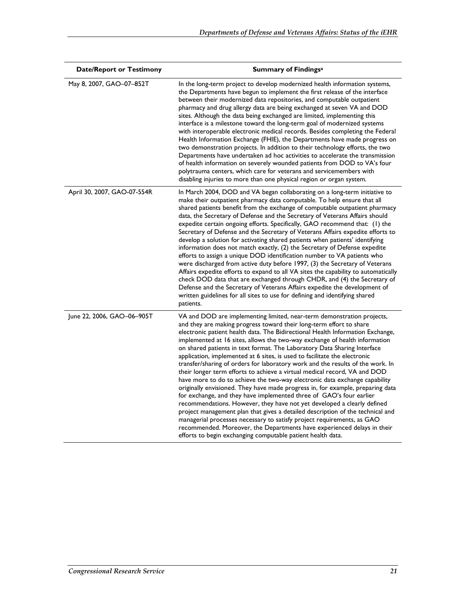| <b>Date/Report or Testimony</b> | <b>Summary of Findingsa</b>                                                                                                                                                                                                                                                                                                                                                                                                                                                                                                                                                                                                                                                                                                                                                                                                                                                                                                                                                                                                                                                                                                                                                                                                                                   |
|---------------------------------|---------------------------------------------------------------------------------------------------------------------------------------------------------------------------------------------------------------------------------------------------------------------------------------------------------------------------------------------------------------------------------------------------------------------------------------------------------------------------------------------------------------------------------------------------------------------------------------------------------------------------------------------------------------------------------------------------------------------------------------------------------------------------------------------------------------------------------------------------------------------------------------------------------------------------------------------------------------------------------------------------------------------------------------------------------------------------------------------------------------------------------------------------------------------------------------------------------------------------------------------------------------|
| May 8, 2007, GAO-07-852T        | In the long-term project to develop modernized health information systems,<br>the Departments have begun to implement the first release of the interface<br>between their modernized data repositories, and computable outpatient<br>pharmacy and drug allergy data are being exchanged at seven VA and DOD<br>sites. Although the data being exchanged are limited, implementing this<br>interface is a milestone toward the long-term goal of modernized systems<br>with interoperable electronic medical records. Besides completing the Federal<br>Health Information Exchange (FHIE), the Departments have made progress on<br>two demonstration projects. In addition to their technology efforts, the two<br>Departments have undertaken ad hoc activities to accelerate the transmission<br>of health information on severely wounded patients from DOD to VA's four<br>polytrauma centers, which care for veterans and servicemembers with<br>disabling injuries to more than one physical region or organ system.                                                                                                                                                                                                                                   |
| April 30, 2007, GAO-07-554R     | In March 2004, DOD and VA began collaborating on a long-term initiative to<br>make their outpatient pharmacy data computable. To help ensure that all<br>shared patients benefit from the exchange of computable outpatient pharmacy<br>data, the Secretary of Defense and the Secretary of Veterans Affairs should<br>expedite certain ongoing efforts. Specifically, GAO recommend that: (1) the<br>Secretary of Defense and the Secretary of Veterans Affairs expedite efforts to<br>develop a solution for activating shared patients when patients' identifying<br>information does not match exactly, (2) the Secretary of Defense expedite<br>efforts to assign a unique DOD identification number to VA patients who<br>were discharged from active duty before 1997, (3) the Secretary of Veterans<br>Affairs expedite efforts to expand to all VA sites the capability to automatically<br>check DOD data that are exchanged through CHDR, and (4) the Secretary of<br>Defense and the Secretary of Veterans Affairs expedite the development of<br>written guidelines for all sites to use for defining and identifying shared<br>patients.                                                                                                        |
| June 22, 2006, GAO-06-905T      | VA and DOD are implementing limited, near-term demonstration projects,<br>and they are making progress toward their long-term effort to share<br>electronic patient health data. The Bidirectional Health Information Exchange,<br>implemented at 16 sites, allows the two-way exchange of health information<br>on shared patients in text format. The Laboratory Data Sharing Interface<br>application, implemented at 6 sites, is used to facilitate the electronic<br>transfer/sharing of orders for laboratory work and the results of the work. In<br>their longer term efforts to achieve a virtual medical record, VA and DOD<br>have more to do to achieve the two-way electronic data exchange capability<br>originally envisioned. They have made progress in, for example, preparing data<br>for exchange, and they have implemented three of GAO's four earlier<br>recommendations. However, they have not yet developed a clearly defined<br>project management plan that gives a detailed description of the technical and<br>managerial processes necessary to satisfy project requirements, as GAO<br>recommended. Moreover, the Departments have experienced delays in their<br>efforts to begin exchanging computable patient health data. |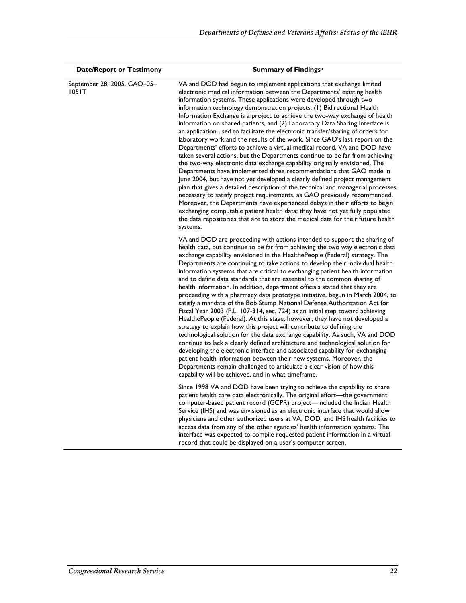| <b>Date/Report or Testimony</b>      | <b>Summary of Findingsa</b>                                                                                                                                                                                                                                                                                                                                                                                                                                                                                                                                                                                                                                                                                                                                                                                                                                                                                                                                                                                                                                                                                                                                                                                                                                                                                                                                                                                                                                       |
|--------------------------------------|-------------------------------------------------------------------------------------------------------------------------------------------------------------------------------------------------------------------------------------------------------------------------------------------------------------------------------------------------------------------------------------------------------------------------------------------------------------------------------------------------------------------------------------------------------------------------------------------------------------------------------------------------------------------------------------------------------------------------------------------------------------------------------------------------------------------------------------------------------------------------------------------------------------------------------------------------------------------------------------------------------------------------------------------------------------------------------------------------------------------------------------------------------------------------------------------------------------------------------------------------------------------------------------------------------------------------------------------------------------------------------------------------------------------------------------------------------------------|
| September 28, 2005, GAO-05-<br>1051T | VA and DOD had begun to implement applications that exchange limited<br>electronic medical information between the Departments' existing health<br>information systems. These applications were developed through two<br>information technology demonstration projects: (1) Bidirectional Health<br>Information Exchange is a project to achieve the two-way exchange of health<br>information on shared patients, and (2) Laboratory Data Sharing Interface is<br>an application used to facilitate the electronic transfer/sharing of orders for<br>laboratory work and the results of the work. Since GAO's last report on the<br>Departments' efforts to achieve a virtual medical record, VA and DOD have<br>taken several actions, but the Departments continue to be far from achieving<br>the two-way electronic data exchange capability originally envisioned. The<br>Departments have implemented three recommendations that GAO made in<br>June 2004, but have not yet developed a clearly defined project management<br>plan that gives a detailed description of the technical and managerial processes<br>necessary to satisfy project requirements, as GAO previously recommended.<br>Moreover, the Departments have experienced delays in their efforts to begin<br>exchanging computable patient health data; they have not yet fully populated<br>the data repositories that are to store the medical data for their future health<br>systems. |
|                                      | VA and DOD are proceeding with actions intended to support the sharing of<br>health data, but continue to be far from achieving the two way electronic data<br>exchange capability envisioned in the HealthePeople (Federal) strategy. The<br>Departments are continuing to take actions to develop their individual health<br>information systems that are critical to exchanging patient health information<br>and to define data standards that are essential to the common sharing of<br>health information. In addition, department officials stated that they are<br>proceeding with a pharmacy data prototype initiative, begun in March 2004, to<br>satisfy a mandate of the Bob Stump National Defense Authorization Act for<br>Fiscal Year 2003 (P.L. 107-314, sec. 724) as an initial step toward achieving<br>HealthePeople (Federal). At this stage, however, they have not developed a<br>strategy to explain how this project will contribute to defining the<br>technological solution for the data exchange capability. As such, VA and DOD<br>continue to lack a clearly defined architecture and technological solution for<br>developing the electronic interface and associated capability for exchanging<br>patient health information between their new systems. Moreover, the<br>Departments remain challenged to articulate a clear vision of how this<br>capability will be achieved, and in what timeframe.                            |
|                                      | Since 1998 VA and DOD have been trying to achieve the capability to share<br>patient health care data electronically. The original effort-the government<br>computer-based patient record (GCPR) project-included the Indian Health<br>Service (IHS) and was envisioned as an electronic interface that would allow<br>physicians and other authorized users at VA, DOD, and IHS health facilities to<br>access data from any of the other agencies' health information systems. The<br>interface was expected to compile requested patient information in a virtual<br>record that could be displayed on a user's computer screen.                                                                                                                                                                                                                                                                                                                                                                                                                                                                                                                                                                                                                                                                                                                                                                                                                               |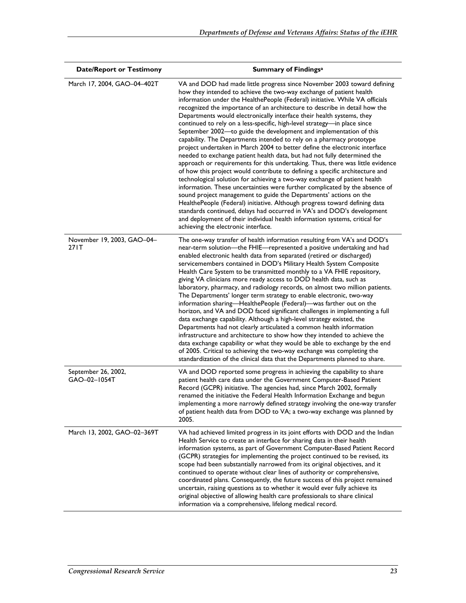| <b>Date/Report or Testimony</b>      | <b>Summary of Findingsa</b>                                                                                                                                                                                                                                                                                                                                                                                                                                                                                                                                                                                                                                                                                                                                                                                                                                                                                                                                                                                                                                                                                                                                                                                                                                                                                                                                                                                                                                |
|--------------------------------------|------------------------------------------------------------------------------------------------------------------------------------------------------------------------------------------------------------------------------------------------------------------------------------------------------------------------------------------------------------------------------------------------------------------------------------------------------------------------------------------------------------------------------------------------------------------------------------------------------------------------------------------------------------------------------------------------------------------------------------------------------------------------------------------------------------------------------------------------------------------------------------------------------------------------------------------------------------------------------------------------------------------------------------------------------------------------------------------------------------------------------------------------------------------------------------------------------------------------------------------------------------------------------------------------------------------------------------------------------------------------------------------------------------------------------------------------------------|
| March 17, 2004, GAO-04-402T          | VA and DOD had made little progress since November 2003 toward defining<br>how they intended to achieve the two-way exchange of patient health<br>information under the HealthePeople (Federal) initiative. While VA officials<br>recognized the importance of an architecture to describe in detail how the<br>Departments would electronically interface their health systems, they<br>continued to rely on a less-specific, high-level strategy-in place since<br>September 2002-to guide the development and implementation of this<br>capability. The Departments intended to rely on a pharmacy prototype<br>project undertaken in March 2004 to better define the electronic interface<br>needed to exchange patient health data, but had not fully determined the<br>approach or requirements for this undertaking. Thus, there was little evidence<br>of how this project would contribute to defining a specific architecture and<br>technological solution for achieving a two-way exchange of patient health<br>information. These uncertainties were further complicated by the absence of<br>sound project management to guide the Departments' actions on the<br>HealthePeople (Federal) initiative. Although progress toward defining data<br>standards continued, delays had occurred in VA's and DOD's development<br>and deployment of their individual health information systems, critical for<br>achieving the electronic interface. |
| November 19, 2003, GAO-04-<br>27 I T | The one-way transfer of health information resulting from VA's and DOD's<br>near-term solution—the FHIE—represented a positive undertaking and had<br>enabled electronic health data from separated (retired or discharged)<br>servicemembers contained in DOD's Military Health System Composite<br>Health Care System to be transmitted monthly to a VA FHIE repository,<br>giving VA clinicians more ready access to DOD health data, such as<br>laboratory, pharmacy, and radiology records, on almost two million patients.<br>The Departments' longer term strategy to enable electronic, two-way<br>information sharing-HealthePeople (Federal)- was farther out on the<br>horizon, and VA and DOD faced significant challenges in implementing a full<br>data exchange capability. Although a high-level strategy existed, the<br>Departments had not clearly articulated a common health information<br>infrastructure and architecture to show how they intended to achieve the<br>data exchange capability or what they would be able to exchange by the end<br>of 2005. Critical to achieving the two-way exchange was completing the<br>standardization of the clinical data that the Departments planned to share.                                                                                                                                                                                                                           |
| September 26, 2002,<br>GAO-02-1054T  | VA and DOD reported some progress in achieving the capability to share<br>patient health care data under the Government Computer-Based Patient<br>Record (GCPR) initiative. The agencies had, since March 2002, formally<br>renamed the initiative the Federal Health Information Exchange and begun<br>implementing a more narrowly defined strategy involving the one-way transfer<br>of patient health data from DOD to VA; a two-way exchange was planned by<br>2005.                                                                                                                                                                                                                                                                                                                                                                                                                                                                                                                                                                                                                                                                                                                                                                                                                                                                                                                                                                                  |
| March 13, 2002, GAO-02-369T          | VA had achieved limited progress in its joint efforts with DOD and the Indian<br>Health Service to create an interface for sharing data in their health<br>information systems, as part of Government Computer-Based Patient Record<br>(GCPR) strategies for implementing the project continued to be revised, its<br>scope had been substantially narrowed from its original objectives, and it<br>continued to operate without clear lines of authority or comprehensive,<br>coordinated plans. Consequently, the future success of this project remained<br>uncertain, raising questions as to whether it would ever fully achieve its<br>original objective of allowing health care professionals to share clinical<br>information via a comprehensive, lifelong medical record.                                                                                                                                                                                                                                                                                                                                                                                                                                                                                                                                                                                                                                                                       |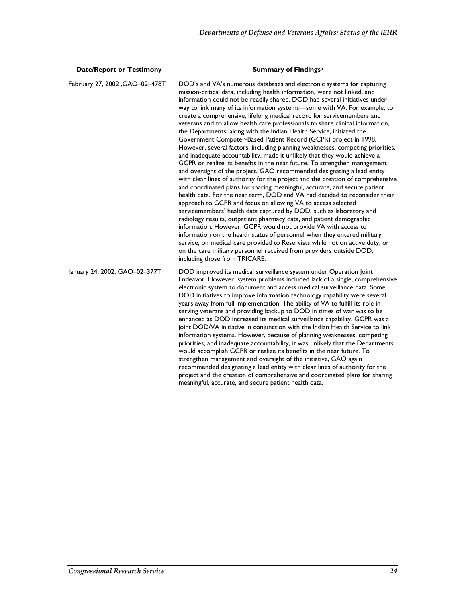| <b>Date/Report or Testimony</b> | <b>Summary of Findingsa</b>                                                                                                                                                                                                                                                                                                                                                                                                                                                                                                                                                                                                                                                                                                                                                                                                                                                                                                                                                                                                                                                                                                                                                                                                                                                                                                                                                                                                                                                                                                                                                                                                                                                                                                                       |
|---------------------------------|---------------------------------------------------------------------------------------------------------------------------------------------------------------------------------------------------------------------------------------------------------------------------------------------------------------------------------------------------------------------------------------------------------------------------------------------------------------------------------------------------------------------------------------------------------------------------------------------------------------------------------------------------------------------------------------------------------------------------------------------------------------------------------------------------------------------------------------------------------------------------------------------------------------------------------------------------------------------------------------------------------------------------------------------------------------------------------------------------------------------------------------------------------------------------------------------------------------------------------------------------------------------------------------------------------------------------------------------------------------------------------------------------------------------------------------------------------------------------------------------------------------------------------------------------------------------------------------------------------------------------------------------------------------------------------------------------------------------------------------------------|
| February 27, 2002 , GAO-02-478T | DOD's and VA's numerous databases and electronic systems for capturing<br>mission-critical data, including health information, were not linked, and<br>information could not be readily shared. DOD had several initiatives under<br>way to link many of its information systems-some with VA. For example, to<br>create a comprehensive, lifelong medical record for servicemembers and<br>veterans and to allow health care professionals to share clinical information,<br>the Departments, along with the Indian Health Service, initiated the<br>Government Computer-Based Patient Record (GCPR) project in 1998.<br>However, several factors, including planning weaknesses, competing priorities,<br>and inadequate accountability, made it unlikely that they would achieve a<br>GCPR or realize its benefits in the near future. To strengthen management<br>and oversight of the project, GAO recommended designating a lead entity<br>with clear lines of authority for the project and the creation of comprehensive<br>and coordinated plans for sharing meaningful, accurate, and secure patient<br>health data. For the near term, DOD and VA had decided to reconsider their<br>approach to GCPR and focus on allowing VA to access selected<br>servicemembers' health data captured by DOD, such as laboratory and<br>radiology results, outpatient pharmacy data, and patient demographic<br>information. However, GCPR would not provide VA with access to<br>information on the health status of personnel when they entered military<br>service; on medical care provided to Reservists while not on active duty; or<br>on the care military personnel received from providers outside DOD,<br>including those from TRICARE. |
| January 24, 2002, GAO-02-377T   | DOD improved its medical surveillance system under Operation Joint<br>Endeavor. However, system problems included lack of a single, comprehensive<br>electronic system to document and access medical surveillance data. Some<br>DOD initiatives to improve information technology capability were several<br>years away from full implementation. The ability of VA to fulfill its role in<br>serving veterans and providing backup to DOD in times of war was to be<br>enhanced as DOD increased its medical surveillance capability. GCPR was a<br>joint DOD/VA initiative in conjunction with the Indian Health Service to link<br>information systems. However, because of planning weaknesses, competing<br>priorities, and inadequate accountability, it was unlikely that the Departments<br>would accomplish GCPR or realize its benefits in the near future. To<br>strengthen management and oversight of the initiative, GAO again<br>recommended designating a lead entity with clear lines of authority for the<br>project and the creation of comprehensive and coordinated plans for sharing<br>meaningful, accurate, and secure patient health data.                                                                                                                                                                                                                                                                                                                                                                                                                                                                                                                                                                              |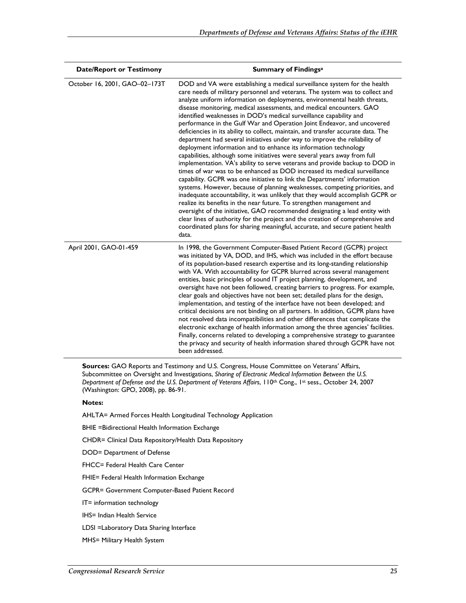| <b>Date/Report or Testimony</b> | <b>Summary of Findingsa</b>                                                                                                                                                                                                                                                                                                                                                                                                                                                                                                                                                                                                                                                                                                                                                                                                                                                                                                                                                                                                                                                                                                                                                                                                                                                                                                                                                                                                                                                                                                     |
|---------------------------------|---------------------------------------------------------------------------------------------------------------------------------------------------------------------------------------------------------------------------------------------------------------------------------------------------------------------------------------------------------------------------------------------------------------------------------------------------------------------------------------------------------------------------------------------------------------------------------------------------------------------------------------------------------------------------------------------------------------------------------------------------------------------------------------------------------------------------------------------------------------------------------------------------------------------------------------------------------------------------------------------------------------------------------------------------------------------------------------------------------------------------------------------------------------------------------------------------------------------------------------------------------------------------------------------------------------------------------------------------------------------------------------------------------------------------------------------------------------------------------------------------------------------------------|
| October 16, 2001, GAO-02-173T   | DOD and VA were establishing a medical surveillance system for the health<br>care needs of military personnel and veterans. The system was to collect and<br>analyze uniform information on deployments, environmental health threats,<br>disease monitoring, medical assessments, and medical encounters. GAO<br>identified weaknesses in DOD's medical surveillance capability and<br>performance in the Gulf War and Operation Joint Endeavor, and uncovered<br>deficiencies in its ability to collect, maintain, and transfer accurate data. The<br>department had several initiatives under way to improve the reliability of<br>deployment information and to enhance its information technology<br>capabilities, although some initiatives were several years away from full<br>implementation. VA's ability to serve veterans and provide backup to DOD in<br>times of war was to be enhanced as DOD increased its medical surveillance<br>capability. GCPR was one initiative to link the Departments' information<br>systems. However, because of planning weaknesses, competing priorities, and<br>inadequate accountability, it was unlikely that they would accomplish GCPR or<br>realize its benefits in the near future. To strengthen management and<br>oversight of the initiative, GAO recommended designating a lead entity with<br>clear lines of authority for the project and the creation of comprehensive and<br>coordinated plans for sharing meaningful, accurate, and secure patient health<br>data. |
| April 2001, GAO-01-459          | In 1998, the Government Computer-Based Patient Record (GCPR) project<br>was initiated by VA, DOD, and IHS, which was included in the effort because<br>of its population-based research expertise and its long-standing relationship<br>with VA. With accountability for GCPR blurred across several management<br>entities, basic principles of sound IT project planning, development, and<br>oversight have not been followed, creating barriers to progress. For example,<br>clear goals and objectives have not been set; detailed plans for the design,<br>implementation, and testing of the interface have not been developed; and<br>critical decisions are not binding on all partners. In addition, GCPR plans have<br>not resolved data incompatibilities and other differences that complicate the<br>electronic exchange of health information among the three agencies' facilities.<br>Finally, concerns related to developing a comprehensive strategy to guarantee<br>the privacy and security of health information shared through GCPR have not<br>been addressed.                                                                                                                                                                                                                                                                                                                                                                                                                                           |

**Sources:** GAO Reports and Testimony and U.S. Congress, House Committee on Veterans' Affairs, Subcommittee on Oversight and Investigations, *Sharing of Electronic Medical Information Between the U.S. Department of Defense and the U.S. Department of Veterans Affairs*, 110th Cong., 1st sess., October 24, 2007 (Washington: GPO, 2008), pp. 86-91.

#### **Notes:**

AHLTA= Armed Forces Health Longitudinal Technology Application

BHIE =Bidirectional Health Information Exchange

CHDR= Clinical Data Repository/Health Data Repository

DOD= Department of Defense

FHCC= Federal Health Care Center

FHIE= Federal Health Information Exchange

GCPR= Government Computer-Based Patient Record

IT= information technology

IHS= Indian Health Service

LDSI =Laboratory Data Sharing Interface

MHS= Military Health System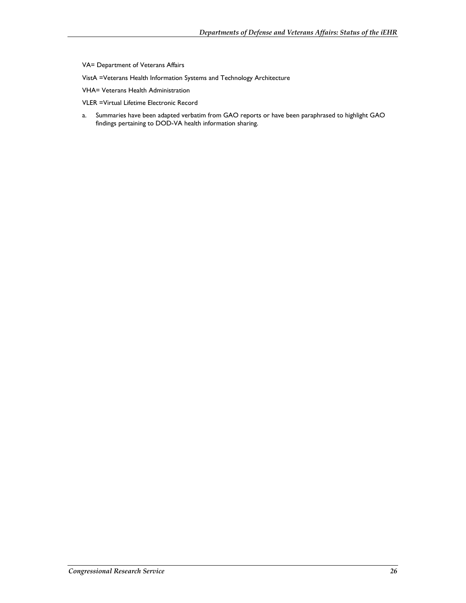- VA= Department of Veterans Affairs
- VistA =Veterans Health Information Systems and Technology Architecture
- VHA= Veterans Health Administration
- VLER =Virtual Lifetime Electronic Record
- a. Summaries have been adapted verbatim from GAO reports or have been paraphrased to highlight GAO findings pertaining to DOD-VA health information sharing.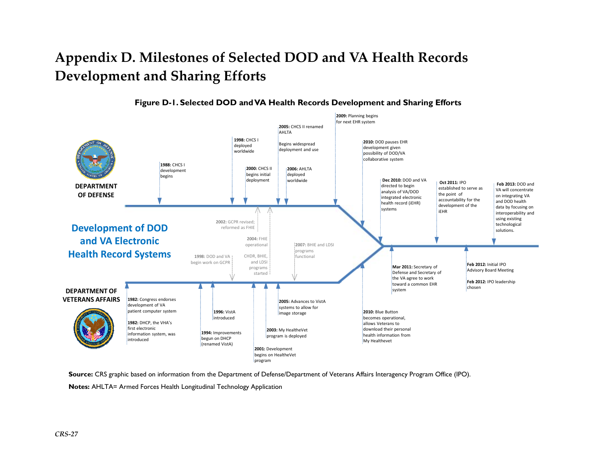## **Appendix D. Milestones of Selected DOD and VA Health Records Development and Sharing Efforts**



**Figure D-1. Selected DOD and VA Health Records Development and Sharing Efforts** 

**Source:** CRS graphic based on information from the Department of Defense/Department of Veterans Affairs Interagency Program Office (IPO). **Notes:** AHLTA= Armed Forces Health Longitudinal Technology Application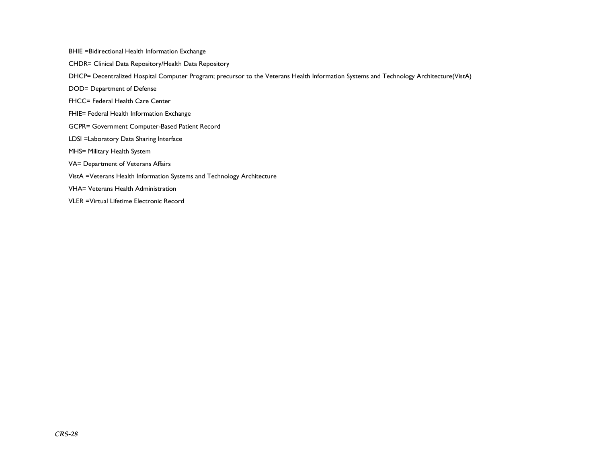BHIE =Bidirectional Health Information Exchange

CHDR= Clinical Data Repository/Health Data Repository

DHCP= Decentralized Hospital Computer Program; precursor to the Veterans Health Information Systems and Technology Architecture(VistA)

DOD= Department of Defense

FHCC= Federal Health Care Center

- FHIE= Federal Health Information Exchange
- GCPR= Government Computer-Based Patient Record
- LDSI =Laboratory Data Sharing Interface
- MHS= Military Health System
- VA= Department of Veterans Affairs
- VistA =Veterans Health Information Systems and Technology Architecture

VHA= Veterans Health Administration

VLER =Virtual Lifetime Electronic Record